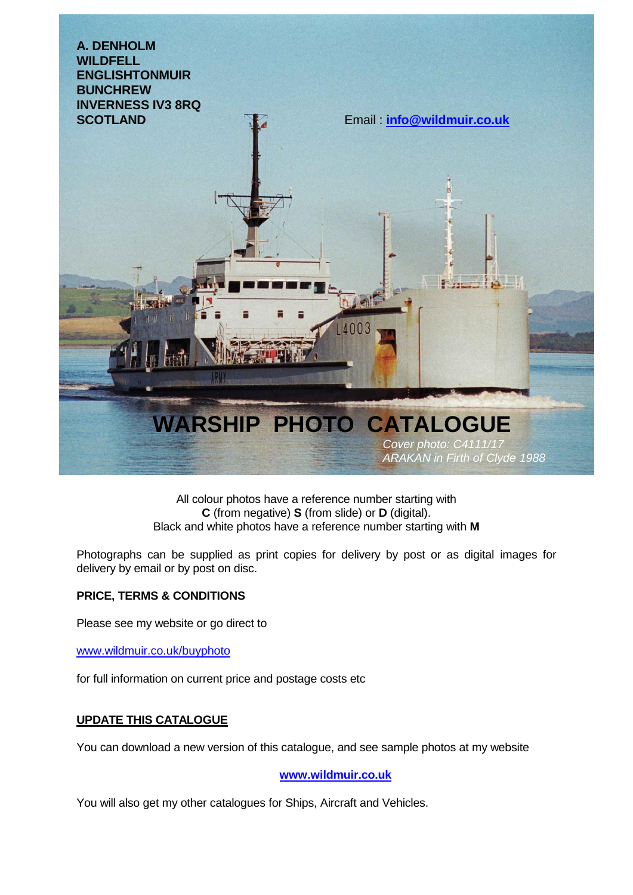

All colour photos have a reference number starting with **C** (from negative) **S** (from slide) or **D** (digital). Black and white photos have a reference number starting with **M**

Photographs can be supplied as print copies for delivery by post or as digital images for delivery by email or by post on disc.

## **PRICE, TERMS & CONDITIONS**

Please see my website or go direct to

www.wildmuir.co.uk/buyphoto

for full information on current price and postage costs etc

## **UPDATE THIS CATALOGUE**

You can download a new version of this catalogue, and see sample photos at my website

**[www.wildmuir.co.uk](http://www.wildmuir.co.uk/)**

You will also get my other catalogues for Ships, Aircraft and Vehicles.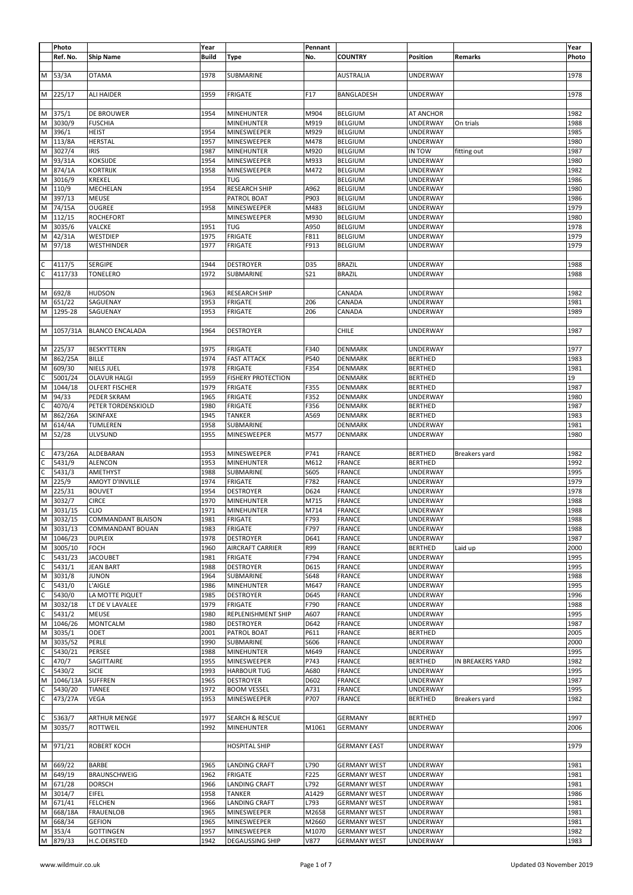|              | Photo           |                                 | Year         |                                       | Pennant       |                                            |                      |                  | Year         |
|--------------|-----------------|---------------------------------|--------------|---------------------------------------|---------------|--------------------------------------------|----------------------|------------------|--------------|
|              | Ref. No.        | <b>Ship Name</b>                | <b>Build</b> | Type                                  | No.           | <b>COUNTRY</b>                             | Position             | Remarks          | Photo        |
|              |                 |                                 |              |                                       |               |                                            |                      |                  |              |
| м            | 53/3A           | <b>OTAMA</b>                    | 1978         | SUBMARINE                             |               | <b>AUSTRALIA</b>                           | UNDERWAY             |                  | 1978         |
|              |                 |                                 |              |                                       |               |                                            |                      |                  |              |
|              |                 |                                 |              |                                       |               |                                            |                      |                  |              |
|              | M 225/17        | ALI HAIDER                      | 1959         | <b>FRIGATE</b>                        | F17           | BANGLADESH                                 | UNDERWAY             |                  | 1978         |
|              |                 |                                 |              |                                       |               |                                            |                      |                  |              |
| M            | 375/1           | DE BROUWER                      | 1954         | <b>MINEHUNTER</b>                     | M904          | <b>BELGIUM</b>                             | AT ANCHOR            |                  | 1982         |
| M            | 3030/9          | <b>FUSCHIA</b>                  |              | <b>MINEHUNTER</b>                     | M919          | <b>BELGIUM</b>                             | UNDERWAY             | On trials        | 1988         |
| M            | 396/1           | <b>HEIST</b>                    | 1954         | MINESWEEPER                           | M929          | <b>BELGIUM</b>                             | UNDERWAY             |                  | 1985         |
| M            | 113/8A          | <b>HERSTAL</b>                  | 1957         | MINESWEEPER                           | M478          | <b>BELGIUM</b>                             | UNDERWAY             |                  | 1980         |
| M            | 3027/4          |                                 |              | <b>MINEHUNTER</b>                     |               |                                            |                      |                  |              |
|              |                 | <b>IRIS</b>                     | 1987         |                                       | M920          | <b>BELGIUM</b>                             | IN TOW               | fitting out      | 1987         |
| M            | 93/31A          | KOKSIJDE                        | 1954         | MINESWEEPER                           | M933          | <b>BELGIUM</b>                             | UNDERWAY             |                  | 1980         |
| M            | 874/1A          | KORTRIJK                        | 1958         | MINESWEEPER                           | M472          | <b>BELGIUM</b>                             | UNDERWAY             |                  | 1982         |
| M            | 3016/9          | KREKEL                          |              | <b>TUG</b>                            |               | <b>BELGIUM</b>                             | UNDERWAY             |                  | 1986         |
| M            | 110/9           | MECHELAN                        | 1954         | <b>RESEARCH SHIP</b>                  | A962          | <b>BELGIUM</b>                             | UNDERWAY             |                  | 1980         |
| М            | 397/13          | <b>MEUSE</b>                    |              | PATROL BOAT                           | P903          | <b>BELGIUM</b>                             | UNDERWAY             |                  | 1986         |
| М            | 74/15A          | OUGREE                          | 1958         | MINESWEEPER                           | M483          | <b>BELGIUM</b>                             |                      |                  | 1979         |
|              |                 |                                 |              |                                       |               |                                            | UNDERWAY             |                  |              |
| М            | 112/15          | <b>ROCHEFORT</b>                |              | MINESWEEPER                           | M930          | <b>BELGIUM</b>                             | UNDERWAY             |                  | 1980         |
| м            | 3035/6          | VALCKE                          | 1951         | <b>TUG</b>                            | A950          | <b>BELGIUM</b>                             | UNDERWAY             |                  | 1978         |
| М            | 42/31A          | WESTDIEP                        | 1975         | <b>FRIGATE</b>                        | F811          | <b>BELGIUM</b>                             | UNDERWAY             |                  | 1979         |
| М            | 97/18           | WESTHINDER                      | 1977         | <b>FRIGATE</b>                        | F913          | <b>BELGIUM</b>                             | UNDERWAY             |                  | 1979         |
|              |                 |                                 |              |                                       |               |                                            |                      |                  |              |
| C            | 4117/5          | SERGIPE                         | 1944         | <b>DESTROYER</b>                      | D35           | <b>BRAZIL</b>                              | UNDERWAY             |                  | 1988         |
| C            |                 |                                 |              |                                       |               |                                            | UNDERWAY             |                  |              |
|              | 4117/33         | TONELERO                        | 1972         | SUBMARINE                             | S21           | <b>BRAZIL</b>                              |                      |                  | 1988         |
|              |                 |                                 |              |                                       |               |                                            |                      |                  |              |
| M            | 692/8           | <b>HUDSON</b>                   | 1963         | <b>RESEARCH SHIP</b>                  |               | CANADA                                     | UNDERWAY             |                  | 1982         |
| M            | 651/22          | SAGUENAY                        | 1953         | <b>FRIGATE</b>                        | 206           | CANADA                                     | UNDERWAY             |                  | 1981         |
| M            | 1295-28         | SAGUENAY                        | 1953         | <b>FRIGATE</b>                        | 206           | CANADA                                     | UNDERWAY             |                  | 1989         |
|              |                 |                                 |              |                                       |               |                                            |                      |                  |              |
|              |                 |                                 |              |                                       |               |                                            |                      |                  |              |
| М            | 1057/31A        | <b>BLANCO ENCALADA</b>          | 1964         | DESTROYER                             |               | <b>CHILE</b>                               | UNDERWAY             |                  | 1987         |
|              |                 |                                 |              |                                       |               |                                            |                      |                  |              |
| M            | 225/37          | <b>BESKYTTERN</b>               | 1975         | <b>FRIGATE</b>                        | F340          | <b>DENMARK</b>                             | UNDERWAY             |                  | 1977         |
| M            | 862/25A         | <b>BILLE</b>                    | 1974         | <b>FAST ATTACK</b>                    | P540          | <b>DENMARK</b>                             | <b>BERTHED</b>       |                  | 1983         |
| M            | 609/30          | NIELS JUEL                      | 1978         | <b>FRIGATE</b>                        | F354          | <b>DENMARK</b>                             | <b>BERTHED</b>       |                  | 1981         |
|              |                 |                                 |              |                                       |               |                                            |                      |                  |              |
| C            | 5001/24         | OLAVUR HALGI                    | 1959         | <b>FISHERY PROTECTION</b>             |               | <b>DENMARK</b>                             | <b>BERTHED</b>       |                  | 19           |
| M            | 1044/18         | OLFERT FISCHER                  | 1979         | <b>FRIGATE</b>                        | F355          | DENMARK                                    | <b>BERTHED</b>       |                  | 1987         |
| M            | 94/33           | PEDER SKRAM                     | 1965         | <b>FRIGATE</b>                        | F352          | <b>DENMARK</b>                             | UNDERWAY             |                  | 1980         |
| C            | 4070/4          | PETER TORDENSKIOLD              | 1980         | <b>FRIGATE</b>                        | F356          | DENMARK                                    | <b>BERTHED</b>       |                  | 1987         |
| M            | 862/26A         | SKINFAXE                        | 1945         | <b>TANKER</b>                         | A569          | DENMARK                                    | <b>BERTHED</b>       |                  | 1983         |
|              |                 |                                 |              |                                       |               |                                            |                      |                  |              |
| M            | 614/4A          | TUMLEREN                        | 1958         | SUBMARINE                             |               | DENMARK                                    | UNDERWAY             |                  | 1981         |
| М            | 52/28           | ULVSUND                         | 1955         | MINESWEEPER                           | M577          | DENMARK                                    | UNDERWAY             |                  | 1980         |
|              |                 |                                 |              |                                       |               |                                            |                      |                  |              |
|              |                 |                                 |              |                                       |               |                                            |                      |                  |              |
| C            | 473/26A         | ALDEBARAN                       | 1953         | MINESWEEPER                           | P741          | <b>FRANCE</b>                              | <b>BERTHED</b>       | Breakers yard    | 1982         |
| C            | 5431/9          | <b>ALENCON</b>                  | 1953         | <b>MINEHUNTER</b>                     | M612          | <b>FRANCE</b>                              | <b>BERTHED</b>       |                  | 1992         |
|              |                 |                                 |              |                                       |               |                                            |                      |                  |              |
| C            | 5431/3          | AMETHYST                        | 1988         | SUBMARINE                             | S605          | <b>FRANCE</b>                              | UNDERWAY             |                  | 1995         |
| M            | 225/9           | <b>AMOYT D'INVILLE</b>          | 1974         | <b>FRIGATE</b>                        | F782          | <b>FRANCE</b>                              | UNDERWAY             |                  | 1979         |
| М            | 225/31          | <b>BOUVET</b>                   | 1954         | <b>DESTROYER</b>                      | D624          | <b>FRANCE</b>                              | UNDERWAY             |                  | 1978         |
| M            | 3032/7          | <b>CIRCE</b>                    | 1970         | <b>MINEHUNTER</b>                     | M715          | <b>FRANCE</b>                              | UNDERWAY             |                  | 1988         |
| M            | 3031/15         | <b>CLIO</b>                     | 1971         | <b>MINEHUNTER</b>                     | M714          | <b>FRANCE</b>                              | UNDERWAY             |                  | 1988         |
|              | M 3032/15       | COMMANDANT BLAISON              | 1981         | <b>FRIGATE</b>                        | F793          | FRANCE                                     | UNDERWAY             |                  | 1988         |
|              |                 |                                 |              |                                       |               |                                            |                      |                  |              |
| M            | 3031/13         | COMMANDANT BOUAN                | 1983         | FRIGATE                               | F797          | FRANCE                                     | UNDERWAY             |                  | 1988         |
| M            | 1046/23         | <b>DUPLEIX</b>                  | 1978         | <b>DESTROYER</b>                      | D641          | <b>FRANCE</b>                              | UNDERWAY             |                  | 1987         |
| M            | 3005/10         | <b>FOCH</b>                     | 1960         | AIRCRAFT CARRIER                      | R99           | <b>FRANCE</b>                              | <b>BERTHED</b>       | Laid up          | 2000         |
| C            | 5431/23         | <b>JACOUBET</b>                 | 1981         | <b>FRIGATE</b>                        | F794          | <b>FRANCE</b>                              | <b>UNDERWAY</b>      |                  | 1995         |
| $\mathsf{C}$ | 5431/1          | <b>JEAN BART</b>                | 1988         | <b>DESTROYER</b>                      | D615          | <b>FRANCE</b>                              | UNDERWAY             |                  | 1995         |
| M            | 3031/8          | <b>JUNON</b>                    | 1964         | SUBMARINE                             | S648          | <b>FRANCE</b>                              | UNDERWAY             |                  | 1988         |
|              |                 |                                 |              |                                       |               |                                            |                      |                  |              |
| C            | 5431/0          | L'AIGLE                         | 1986         | <b>MINEHUNTER</b>                     | M647          | <b>FRANCE</b>                              | UNDERWAY             |                  | 1995         |
| C            | 5430/0          | LA MOTTE PIQUET                 | 1985         | <b>DESTROYER</b>                      | D645          | <b>FRANCE</b>                              | UNDERWAY             |                  | 1996         |
| M            | 3032/18         | LT DE V LAVALEE                 | 1979         | <b>FRIGATE</b>                        | F790          | <b>FRANCE</b>                              | UNDERWAY             |                  | 1988         |
| C            | 5431/2          | MEUSE                           | 1980         | REPLENISHMENT SHIP                    | A607          | <b>FRANCE</b>                              | UNDERWAY             |                  | 1995         |
| M            | 1046/26         | MONTCALM                        | 1980         | <b>DESTROYER</b>                      | D642          | <b>FRANCE</b>                              | <b>UNDERWAY</b>      |                  | 1987         |
| M            | 3035/1          | ODET                            | 2001         | PATROL BOAT                           | P611          | <b>FRANCE</b>                              | <b>BERTHED</b>       |                  | 2005         |
| M            | 3035/52         | PERLE                           | 1990         | SUBMARINE                             | S606          | <b>FRANCE</b>                              | UNDERWAY             |                  | 2000         |
|              |                 |                                 |              |                                       |               |                                            |                      |                  |              |
| C            | 5430/21         | PERSEE                          | 1988         | <b>MINEHUNTER</b>                     | M649          | <b>FRANCE</b>                              | UNDERWAY             |                  | 1995         |
| C            | 470/7           | SAGITTAIRE                      | 1955         | MINESWEEPER                           | P743          | <b>FRANCE</b>                              | <b>BERTHED</b>       | IN BREAKERS YARD | 1982         |
| C            | 5430/2          | <b>SICIE</b>                    | 1993         | <b>HARBOUR TUG</b>                    | A680          | <b>FRANCE</b>                              | UNDERWAY             |                  | 1995         |
| M            | 1046/13A        | <b>SUFFREN</b>                  | 1965         | <b>DESTROYER</b>                      | D602          | <b>FRANCE</b>                              | UNDERWAY             |                  | 1987         |
| C            | 5430/20         | TIANEE                          | 1972         | <b>BOOM VESSEL</b>                    | A731          | <b>FRANCE</b>                              | UNDERWAY             |                  | 1995         |
|              | 473/27A         | VEGA                            | 1953         | MINESWEEPER                           | P707          | <b>FRANCE</b>                              | <b>BERTHED</b>       | Breakers yard    | 1982         |
| С            |                 |                                 |              |                                       |               |                                            |                      |                  |              |
|              |                 |                                 |              |                                       |               |                                            |                      |                  |              |
| C            | 5363/7          | ARTHUR MENGE                    | 1977         | <b>SEARCH &amp; RESCUE</b>            |               | <b>GERMANY</b>                             | <b>BERTHED</b>       |                  | 1997         |
|              | M 3035/7        | ROTTWEIL                        | 1992         | <b>MINEHUNTER</b>                     | M1061         | <b>GERMANY</b>                             | UNDERWAY             |                  | 2006         |
|              |                 |                                 |              |                                       |               |                                            |                      |                  |              |
|              | M 971/21        | ROBERT KOCH                     |              | <b>HOSPITAL SHIP</b>                  |               | <b>GERMANY EAST</b>                        | UNDERWAY             |                  | 1979         |
|              |                 |                                 |              |                                       |               |                                            |                      |                  |              |
|              |                 |                                 |              |                                       |               |                                            |                      |                  |              |
| M            | 669/22          | BARBE                           | 1965         | <b>LANDING CRAFT</b>                  | L790          | <b>GERMANY WEST</b>                        | UNDERWAY             |                  | 1981         |
| M            | 649/19          | BRAUNSCHWEIG                    | 1962         | <b>FRIGATE</b>                        | F225          | <b>GERMANY WEST</b>                        | UNDERWAY             |                  | 1981         |
| M            | 671/28          | <b>DORSCH</b>                   | 1966         | LANDING CRAFT                         | L792          | <b>GERMANY WEST</b>                        | UNDERWAY             |                  | 1981         |
| M            | 3014/7          | EIFEL                           | 1958         | <b>TANKER</b>                         | A1429         | <b>GERMANY WEST</b>                        | UNDERWAY             |                  | 1986         |
| M            | 671/41          | <b>FELCHEN</b>                  | 1966         | <b>LANDING CRAFT</b>                  | L793          | <b>GERMANY WEST</b>                        | UNDERWAY             |                  | 1981         |
| M            | 668/18A         | <b>FRAUENLOB</b>                | 1965         | MINESWEEPER                           | M2658         | <b>GERMANY WEST</b>                        | UNDERWAY             |                  | 1981         |
|              |                 |                                 |              |                                       |               |                                            |                      |                  |              |
| M            | 668/34          | <b>GEFION</b>                   | 1965         | MINESWEEPER                           | M2660         | <b>GERMANY WEST</b>                        | UNDERWAY             |                  | 1981         |
| M<br>M       | 353/4<br>879/33 | <b>GOTTINGEN</b><br>H.C.OERSTED | 1957<br>1942 | MINESWEEPER<br><b>DEGAUSSING SHIP</b> | M1070<br>V877 | <b>GERMANY WEST</b><br><b>GERMANY WEST</b> | UNDERWAY<br>UNDERWAY |                  | 1982<br>1983 |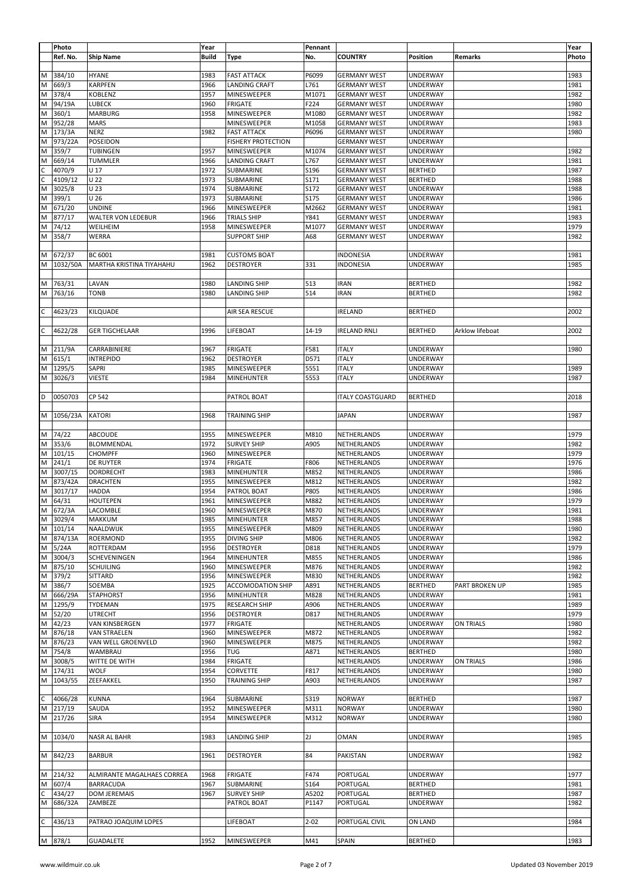|                | Photo    |                            | Year         |                           | Pennant  |                         |                 |                 | Year  |
|----------------|----------|----------------------------|--------------|---------------------------|----------|-------------------------|-----------------|-----------------|-------|
|                | Ref. No. | <b>Ship Name</b>           | <b>Build</b> | Type                      | No.      | <b>COUNTRY</b>          | Position        | Remarks         | Photo |
|                |          |                            |              |                           |          |                         |                 |                 |       |
| M              | 384/10   | <b>HYANE</b>               | 1983         | <b>FAST ATTACK</b>        | P6099    | <b>GERMANY WEST</b>     | <b>UNDERWAY</b> |                 | 1983  |
|                |          |                            |              |                           |          |                         |                 |                 |       |
| M              | 669/3    | <b>KARPFEN</b>             | 1966         | LANDING CRAFT             | L761     | <b>GERMANY WEST</b>     | UNDERWAY        |                 | 1981  |
| M              | 378/4    | KOBLENZ                    | 1957         | MINESWEEPER               | M1071    | <b>GERMANY WEST</b>     | UNDERWAY        |                 | 1982  |
| M              | 94/19A   | LUBECK                     | 1960         | <b>FRIGATE</b>            | F224     | <b>GERMANY WEST</b>     | UNDERWAY        |                 | 1980  |
| M              | 360/1    | <b>MARBURG</b>             | 1958         | MINESWEEPER               | M1080    | <b>GERMANY WEST</b>     | UNDERWAY        |                 | 1982  |
| M              | 952/28   | <b>MARS</b>                |              | MINESWEEPER               | M1058    | <b>GERMANY WEST</b>     | <b>UNDERWAY</b> |                 | 1983  |
| M              | 173/3A   | <b>NERZ</b>                | 1982         | <b>FAST ATTACK</b>        | P6096    | <b>GERMANY WEST</b>     | UNDERWAY        |                 | 1980  |
| M              | 973/22A  | POSEIDON                   |              | <b>FISHERY PROTECTION</b> |          | <b>GERMANY WEST</b>     | UNDERWAY        |                 |       |
| M              | 359/7    | TUBINGEN                   | 1957         | MINESWEEPER               | M1074    | <b>GERMANY WEST</b>     | UNDERWAY        |                 | 1982  |
| M              | 669/14   | TUMMLER                    | 1966         | LANDING CRAFT             | L767     | <b>GERMANY WEST</b>     | <b>UNDERWAY</b> |                 | 1981  |
| $\overline{c}$ | 4070/9   | U 17                       | 1972         | SUBMARINE                 | S196     | <b>GERMANY WEST</b>     | <b>BERTHED</b>  |                 | 1987  |
| c              | 4109/12  | U <sub>22</sub>            | 1973         | SUBMARINE                 | S171     | <b>GERMANY WEST</b>     | <b>BERTHED</b>  |                 | 1988  |
| M              |          |                            |              |                           |          |                         |                 |                 |       |
|                | 3025/8   | U 23                       | 1974         | SUBMARINE                 | S172     | <b>GERMANY WEST</b>     | <b>UNDERWAY</b> |                 | 1988  |
| M              | 399/1    | U 26                       | 1973         | SUBMARINE                 | S175     | <b>GERMANY WEST</b>     | <b>UNDERWAY</b> |                 | 1986  |
| M              | 671/20   | <b>UNDINE</b>              | 1966         | MINESWEEPER               | M2662    | <b>GERMANY WEST</b>     | UNDERWAY        |                 | 1981  |
| M              | 877/17   | WALTER VON LEDEBUR         | 1966         | <b>TRIALS SHIP</b>        | Y841     | <b>GERMANY WEST</b>     | UNDERWAY        |                 | 1983  |
| M              | 74/12    | WEILHEIM                   | 1958         | MINESWEEPER               | M1077    | <b>GERMANY WEST</b>     | UNDERWAY        |                 | 1979  |
| M              | 358/7    | WERRA                      |              | <b>SUPPORT SHIP</b>       | A68      | <b>GERMANY WEST</b>     | UNDERWAY        |                 | 1982  |
|                |          |                            |              |                           |          |                         |                 |                 |       |
| M              | 672/37   | BC 6001                    | 1981         | <b>CUSTOMS BOAT</b>       |          | INDONESIA               | <b>UNDERWAY</b> |                 | 1981  |
|                |          |                            |              |                           |          |                         |                 |                 |       |
| M              | 1032/50A | MARTHA KRISTINA TIYAHAHU   | 1962         | <b>DESTROYER</b>          | 331      | INDONESIA               | UNDERWAY        |                 | 1985  |
|                |          |                            |              |                           |          |                         |                 |                 |       |
| M              | 763/31   | LAVAN                      | 1980         | <b>LANDING SHIP</b>       | 513      | <b>IRAN</b>             | <b>BERTHED</b>  |                 | 1982  |
| M              | 763/16   | TONB                       | 1980         | <b>LANDING SHIP</b>       | 514      | <b>IRAN</b>             | <b>BERTHED</b>  |                 | 1982  |
|                |          |                            |              |                           |          |                         |                 |                 |       |
| C              | 4623/23  | KILQUADE                   |              | AIR SEA RESCUE            |          | IRELAND                 | <b>BERTHED</b>  |                 | 2002  |
|                |          |                            |              |                           |          |                         |                 |                 |       |
|                |          |                            |              |                           |          |                         |                 |                 |       |
| $\mathsf C$    | 4622/28  | <b>GER TIGCHELAAR</b>      | 1996         | LIFEBOAT                  | 14-19    | <b>IRELAND RNLI</b>     | <b>BERTHED</b>  | Arklow lifeboat | 2002  |
|                |          |                            |              |                           |          |                         |                 |                 |       |
| M              | 211/9A   | CARRABINIERE               | 1967         | <b>FRIGATE</b>            | F581     | <b>ITALY</b>            | UNDERWAY        |                 | 1980  |
| M              | 615/1    | <b>INTREPIDO</b>           | 1962         | <b>DESTROYER</b>          | D571     | <b>ITALY</b>            | UNDERWAY        |                 |       |
| M              | 1295/5   | SAPRI                      | 1985         | MINESWEEPER               | 5551     | <b>ITALY</b>            | <b>UNDERWAY</b> |                 | 1989  |
| M              | 3026/3   | VIESTE                     | 1984         | MINEHUNTER                | 5553     | <b>ITALY</b>            | UNDERWAY        |                 | 1987  |
|                |          |                            |              |                           |          |                         |                 |                 |       |
|                |          |                            |              |                           |          |                         |                 |                 |       |
| D              | 0050703  | CP 542                     |              | PATROL BOAT               |          | <b>ITALY COASTGUARD</b> | <b>BERTHED</b>  |                 | 2018  |
|                |          |                            |              |                           |          |                         |                 |                 |       |
| M              | 1056/23A | <b>KATORI</b>              | 1968         | TRAINING SHIP             |          | <b>JAPAN</b>            | <b>UNDERWAY</b> |                 | 1987  |
|                |          |                            |              |                           |          |                         |                 |                 |       |
| M              | 74/22    | ABCOUDE                    | 1955         | MINESWEEPER               | M810     | NETHERLANDS             | <b>UNDERWAY</b> |                 | 1979  |
| M              | 353/6    | BLOMMENDAL                 | 1972         | <b>SURVEY SHIP</b>        | A905     | NETHERLANDS             | <b>UNDERWAY</b> |                 | 1982  |
| M              | 101/15   |                            |              |                           |          |                         |                 |                 | 1979  |
|                |          | <b>CHOMPFF</b>             | 1960         | MINESWEEPER               |          | NETHERLANDS             | <b>UNDERWAY</b> |                 |       |
| M              | 241/1    | DE RUYTER                  | 1974         | <b>FRIGATE</b>            | F806     | NETHERLANDS             | UNDERWAY        |                 | 1976  |
| M              | 3007/15  | DORDRECHT                  | 1983         | <b>MINEHUNTER</b>         | M852     | NETHERLANDS             | <b>UNDERWAY</b> |                 | 1986  |
| M              | 873/42A  | <b>DRACHTEN</b>            | 1955         | MINESWEEPER               | M812     | NETHERLANDS             | UNDERWAY        |                 | 1982  |
| M              | 3017/17  | <b>HADDA</b>               | 1954         | PATROL BOAT               | P805     | NETHERLANDS             | UNDERWAY        |                 | 1986  |
| M              | 64/31    | HOUTEPEN                   | 1961         | MINESWEEPER               | M882     | NETHERLANDS             | UNDERWAY        |                 | 1979  |
| M              | 672/3A   | LACOMBLE                   | 1960         | MINESWEEPER               | M870     | NETHERLANDS             | UNDERWAY        |                 | 1981  |
|                | M 3029/4 |                            |              |                           | M857     |                         |                 |                 |       |
|                |          | MAKKUM                     | 1985         | MINEHUNTER                |          | NETHERLANDS             | UNDERWAY        |                 | 1988  |
|                | M 101/14 | NAALDWIJK                  | 1955         | MINESWEEPER               | M809     | NETHERLANDS             | <b>UNDERWAY</b> |                 | 1980  |
| M              | 874/13A  | ROERMOND                   | 1955         | <b>DIVING SHIP</b>        | M806     | NETHERLANDS             | <b>UNDERWAY</b> |                 | 1982  |
| M              | 5/24A    | ROTTERDAM                  | 1956         | <b>DESTROYER</b>          | D818     | NETHERLANDS             | <b>UNDERWAY</b> |                 | 1979  |
| M              | 3004/3   | SCHEVENINGEN               | 1964         | <b>MINEHUNTER</b>         | M855     | NETHERLANDS             | UNDERWAY        |                 | 1986  |
| M              | 875/10   | <b>SCHUILING</b>           | 1960         | MINESWEEPER               | M876     | NETHERLANDS             | UNDERWAY        |                 | 1982  |
| M              | 379/2    | <b>SITTARD</b>             | 1956         | MINESWEEPER               | M830     | NETHERLANDS             | UNDERWAY        |                 | 1982  |
| M              | 386/7    | SOEMBA                     | 1925         | <b>ACCOMODATION SHIP</b>  | A891     | NETHERLANDS             | <b>BERTHED</b>  | PART BROKEN UP  | 1985  |
| M              | 666/29A  | <b>STAPHORST</b>           | 1956         | <b>MINEHUNTER</b>         | M828     | NETHERLANDS             | UNDERWAY        |                 | 1981  |
|                |          |                            |              |                           |          |                         |                 |                 |       |
| M              | 1295/9   | TYDEMAN                    | 1975         | <b>RESEARCH SHIP</b>      | A906     | NETHERLANDS             | <b>UNDERWAY</b> |                 | 1989  |
| M              | 52/20    | <b>UTRECHT</b>             | 1956         | <b>DESTROYER</b>          | D817     | NETHERLANDS             | UNDERWAY        |                 | 1979  |
| M              | 42/23    | VAN KINSBERGEN             | 1977         | <b>FRIGATE</b>            |          | NETHERLANDS             | UNDERWAY        | ON TRIALS       | 1980  |
| M              | 876/18   | <b>VAN STRAELEN</b>        | 1960         | MINESWEEPER               | M872     | NETHERLANDS             | UNDERWAY        |                 | 1982  |
| M              | 876/23   | VAN WELL GROENVELD         | 1960         | MINESWEEPER               | M875     | NETHERLANDS             | <b>UNDERWAY</b> |                 | 1982  |
| M              | 754/8    | WAMBRAU                    | 1956         | TUG                       | A871     | NETHERLANDS             | <b>BERTHED</b>  |                 | 1980  |
| M              | 3008/5   | WITTE DE WITH              | 1984         | <b>FRIGATE</b>            |          | NETHERLANDS             | UNDERWAY        | ON TRIALS       | 1986  |
| M              | 174/31   | <b>WOLF</b>                | 1954         | CORVETTE                  | F817     | NETHERLANDS             | UNDERWAY        |                 | 1980  |
|                |          |                            |              |                           |          |                         |                 |                 |       |
| M              | 1043/55  | ZEEFAKKEL                  | 1950         | <b>TRAINING SHIP</b>      | A903     | NETHERLANDS             | UNDERWAY        |                 | 1987  |
|                |          |                            |              |                           |          |                         |                 |                 |       |
| $\mathsf{C}$   | 4066/28  | <b>KUNNA</b>               | 1964         | SUBMARINE                 | S319     | <b>NORWAY</b>           | <b>BERTHED</b>  |                 | 1987  |
| M              | 217/19   | SAUDA                      | 1952         | MINESWEEPER               | M311     | <b>NORWAY</b>           | UNDERWAY        |                 | 1980  |
|                | M 217/26 | <b>SIRA</b>                | 1954         | MINESWEEPER               | M312     | <b>NORWAY</b>           | UNDERWAY        |                 | 1980  |
|                |          |                            |              |                           |          |                         |                 |                 |       |
|                | M 1034/0 | NASR AL BAHR               | 1983         | <b>LANDING SHIP</b>       | 2J       | <b>OMAN</b>             | UNDERWAY        |                 | 1985  |
|                |          |                            |              |                           |          |                         |                 |                 |       |
|                |          |                            |              |                           |          |                         |                 |                 |       |
|                | M 842/23 | <b>BARBUR</b>              | 1961         | <b>DESTROYER</b>          | 84       | PAKISTAN                | UNDERWAY        |                 | 1982  |
|                |          |                            |              |                           |          |                         |                 |                 |       |
|                | M 214/32 | ALMIRANTE MAGALHAES CORREA | 1968         | <b>FRIGATE</b>            | F474     | PORTUGAL                | <b>UNDERWAY</b> |                 | 1977  |
| M              | 607/4    | <b>BARRACUDA</b>           | 1967         | SUBMARINE                 | S164     | PORTUGAL                | <b>BERTHED</b>  |                 | 1981  |
| C              | 434/27   | <b>DOM JEREMAIS</b>        | 1967         | <b>SURVEY SHIP</b>        | A5202    | PORTUGAL                | <b>BERTHED</b>  |                 | 1987  |
| M              | 686/32A  | ZAMBEZE                    |              | PATROL BOAT               | P1147    | PORTUGAL                | UNDERWAY        |                 | 1982  |
|                |          |                            |              |                           |          |                         |                 |                 |       |
| $\mathsf{C}$   |          |                            |              |                           |          |                         |                 |                 |       |
|                | 436/13   | PATRAO JOAQUIM LOPES       |              | LIFEBOAT                  | $2 - 02$ | PORTUGAL CIVIL          | ON LAND         |                 | 1984  |
|                |          |                            |              |                           |          |                         |                 |                 |       |
|                | M 878/1  | <b>GUADALETE</b>           | 1952         | MINESWEEPER               | M41      | <b>SPAIN</b>            | <b>BERTHED</b>  |                 | 1983  |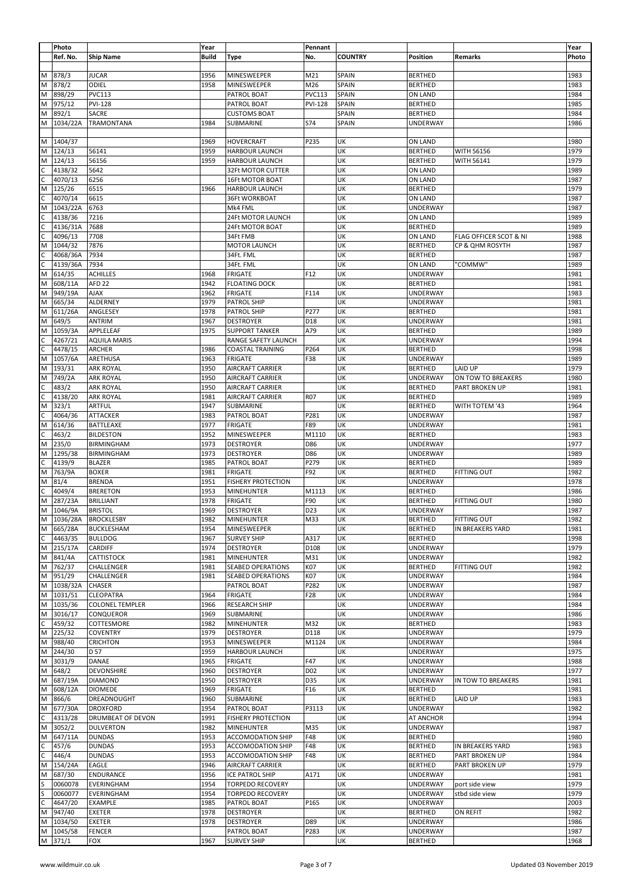|                | Photo    |                          | Year         |                           | Pennant          |                |                 |                            | Year  |
|----------------|----------|--------------------------|--------------|---------------------------|------------------|----------------|-----------------|----------------------------|-------|
|                | Ref. No. | <b>Ship Name</b>         | <b>Build</b> | Type                      | No.              | <b>COUNTRY</b> | Position        | Remarks                    | Photo |
|                |          |                          |              |                           |                  |                |                 |                            |       |
| M              | 878/3    | <b>JUCAR</b>             | 1956         | MINESWEEPER               | M21              | SPAIN          | <b>BERTHED</b>  |                            | 1983  |
| M              | 878/2    | ODIEL                    | 1958         | MINESWEEPER               | M26              | SPAIN          | <b>BERTHED</b>  |                            | 1983  |
| M              | 898/29   | <b>PVC113</b>            |              | PATROL BOAT               | <b>PVC113</b>    | SPAIN          | ON LAND         |                            | 1984  |
| M              | 975/12   | <b>PVI-128</b>           |              | PATROL BOAT               | <b>PVI-128</b>   | SPAIN          | <b>BERTHED</b>  |                            | 1985  |
| M              | 892/1    | SACRE                    |              | <b>CUSTOMS BOAT</b>       |                  | SPAIN          | <b>BERTHED</b>  |                            | 1984  |
| M              | 1034/22A | TRAMONTANA               | 1984         | SUBMARINE                 | S74              | SPAIN          | UNDERWAY        |                            | 1986  |
|                |          |                          |              |                           |                  |                |                 |                            |       |
| M              | 1404/37  |                          | 1969         | <b>HOVERCRAFT</b>         | P235             | UK             | ON LAND         |                            | 1980  |
| M              | 124/13   | 56141                    | 1959         | <b>HARBOUR LAUNCH</b>     |                  | UK             | <b>BERTHED</b>  | WITH 56156                 | 1979  |
| M              | 124/13   | 56156                    | 1959         | <b>HARBOUR LAUNCH</b>     |                  | UK             | <b>BERTHED</b>  | WITH 56141                 | 1979  |
| C              | 4138/32  | 5642                     |              | 32Ft MOTOR CUTTER         |                  | UK             | ON LAND         |                            | 1989  |
| C              | 4070/13  | 6256                     |              | <b>16Ft MOTOR BOAT</b>    |                  | UK             | ON LAND         |                            | 1987  |
| M              | 125/26   | 6515                     | 1966         | <b>HARBOUR LAUNCH</b>     |                  | UK             | <b>BERTHED</b>  |                            | 1979  |
| C              | 4070/14  | 6615                     |              | <b>36Ft WORKBOAT</b>      |                  | UK             | ON LAND         |                            | 1987  |
| M              | 1043/22A | 6763                     |              | Mk4 FML                   |                  | UK             | <b>UNDERWAY</b> |                            | 1987  |
| $\mathsf C$    | 4138/36  | 7216                     |              | 24Ft MOTOR LAUNCH         |                  | UK             | ON LAND         |                            | 1989  |
| $\mathsf C$    | 4136/31A | 7688                     |              | 24Ft MOTOR BOAT           |                  | UK             | <b>BERTHED</b>  |                            | 1989  |
| $\mathsf{C}$   | 4096/13  | 7708                     |              | 34Ft FMB                  |                  | UK             | ON LAND         | FLAG OFFICER SCOT & NI     | 1988  |
| M              | 1044/32  | 7876                     |              | <b>MOTOR LAUNCH</b>       |                  | UK             | <b>BERTHED</b>  | <b>CP &amp; QHM ROSYTH</b> | 1987  |
| $\mathsf{C}$   | 4068/36A | 7934                     |              | 34Ft. FML                 |                  | UK             | <b>BERTHED</b>  |                            | 1987  |
| C              | 4139/36A | 7934                     |              | 34Ft. FML                 |                  | UK             | ON LAND         | "COMMW"                    | 1989  |
| M              | 614/35   | <b>ACHILLES</b>          | 1968         | <b>FRIGATE</b>            | F12              | UK             | <b>UNDERWAY</b> |                            | 1981  |
| M              | 608/11A  | AFD <sub>22</sub>        | 1942         | <b>FLOATING DOCK</b>      |                  | UK             | <b>BERTHED</b>  |                            | 1981  |
| M              | 949/19A  | <b>AJAX</b>              | 1962         | <b>FRIGATE</b>            | F114             | UK             | <b>UNDERWAY</b> |                            | 1983  |
| M              | 665/34   | ALDERNEY                 | 1979         | <b>PATROL SHIP</b>        |                  | UK             | UNDERWAY        |                            | 1981  |
| M              | 611/26A  | ANGLESEY                 | 1978         | <b>PATROL SHIP</b>        | P277             | UK             | <b>BERTHED</b>  |                            | 1981  |
| M              | 649/5    | <b>ANTRIM</b>            | 1967         | <b>DESTROYER</b>          | D18              | UK             | <b>UNDERWAY</b> |                            | 1981  |
| M              | 1059/3A  | APPLELEAF                | 1975         | <b>SUPPORT TANKER</b>     | A79              | UK             | <b>BERTHED</b>  |                            | 1989  |
| $\mathsf C$    | 4267/21  | <b>AQUILA MARIS</b>      |              | RANGE SAFETY LAUNCH       |                  | UK             | <b>UNDERWAY</b> |                            | 1994  |
| C              | 4478/15  | <b>ARCHER</b>            | 1986         | <b>COASTAL TRAINING</b>   | P264             | UK             | <b>BERTHED</b>  |                            | 1998  |
| M              | 1057/6A  | ARETHUSA                 | 1963         | <b>FRIGATE</b>            | F38              | UK             | <b>UNDERWAY</b> |                            | 1989  |
| M              | 193/31   | <b>ARK ROYAL</b>         | 1950         | AIRCRAFT CARRIER          |                  | UK             | <b>BERTHED</b>  | LAID UP                    | 1979  |
| M              | 749/2A   | <b>ARK ROYAL</b>         | 1950         | AIRCRAFT CARRIER          |                  | UK             | <b>UNDERWAY</b> | ON TOW TO BREAKERS         | 1980  |
| $\mathsf C$    | 483/2    | <b>ARK ROYAL</b>         | 1950         | AIRCRAFT CARRIER          |                  | UK             | <b>BERTHED</b>  | PART BROKEN UP             | 1981  |
| C              | 4138/20  | <b>ARK ROYAL</b>         | 1981         | AIRCRAFT CARRIER          | <b>R07</b>       | UK             | <b>BERTHED</b>  |                            | 1989  |
| M              | 323/1    | ARTFUL                   | 1947         | SUBMARINE                 |                  | UK             | <b>BERTHED</b>  | WITH TOTEM '43             | 1964  |
| C              | 4064/36  | ATTACKER                 | 1983         | PATROL BOAT               | P281             | UK             | <b>UNDERWAY</b> |                            | 1987  |
| M              | 614/36   | <b>BATTLEAXE</b>         | 1977         | <b>FRIGATE</b>            | F89              | UK             | UNDERWAY        |                            | 1981  |
| C              | 463/2    | <b>BILDESTON</b>         | 1952         | MINESWEEPER               | M1110            | UK             | <b>BERTHED</b>  |                            | 1983  |
| M              | 235/0    | <b>BIRMINGHAM</b>        | 1973         | <b>DESTROYER</b>          | D86              | UK             | <b>UNDERWAY</b> |                            | 1977  |
| M              | 1295/38  | <b>BIRMINGHAM</b>        | 1973         | <b>DESTROYER</b>          | D86              | UK             | <b>UNDERWAY</b> |                            | 1989  |
| с              | 4139/9   | <b>BLAZER</b>            | 1985         | PATROL BOAT               | P279             | UK             | <b>BERTHED</b>  |                            | 1989  |
| M              | 763/9A   | <b>BOXER</b>             | 1981         | <b>FRIGATE</b>            | F92              | UK             | <b>BERTHED</b>  | <b>FITTING OUT</b>         | 1982  |
| M              | 81/4     | <b>BRENDA</b>            | 1951         | <b>FISHERY PROTECTION</b> |                  | UK             | <b>UNDERWAY</b> |                            | 1978  |
| C              | 4049/4   | <b>BRERETON</b>          | 1953         | <b>MINEHUNTER</b>         | M1113            | UK             | <b>BERTHED</b>  |                            | 1986  |
| M              | 287/23A  | <b>BRILLIANT</b>         | 1978         | <b>FRIGATE</b>            | F90              | UK             | <b>BERTHED</b>  | <b>FITTING OUT</b>         | 1980  |
| M              | 1046/9A  | <b>BRISTOL</b>           | 1969         | <b>DESTROYER</b>          | D23              | UK             | UNDERWAY        |                            | 1987  |
|                |          | M 1036/28A BROCKLESBY    | 1982         | MINEHUNTER                | M33              | UK             | <b>BERTHED</b>  | <b>FITTING OUT</b>         | 1982  |
| M              | 665/28A  | <b>BUCKLESHAM</b>        | 1954         | MINESWEEPER               |                  | UK             | <b>BERTHED</b>  | IN BREAKERS YARD           | 1981  |
| $\mathsf{C}$   | 4463/35  | <b>BULLDOG</b>           | 1967         | <b>SURVEY SHIP</b>        | A317             | UK             | <b>BERTHED</b>  |                            | 1998  |
| $\overline{M}$ | 215/17A  | <b>CARDIFF</b>           | 1974         | <b>DESTROYER</b>          | D108             | UK             | <b>UNDERWAY</b> |                            | 1979  |
| M              | 841/4A   | <b>CATTISTOCK</b>        | 1981         | <b>MINEHUNTER</b>         | M31              | UK             | UNDERWAY        |                            | 1982  |
| M              | 762/37   | CHALLENGER               | 1981         | SEABED OPERATIONS         | K07              | UK             | <b>BERTHED</b>  | FITTING OUT                | 1982  |
| M              | 951/29   | CHALLENGER               | 1981         | SEABED OPERATIONS         | K07              | UK             | UNDERWAY        |                            | 1984  |
| M              | 1038/32A | <b>CHASER</b>            |              | PATROL BOAT               | P282             | UK             | <b>UNDERWAY</b> |                            | 1987  |
| M              | 1031/51  | <b>CLEOPATRA</b>         | 1964         | <b>FRIGATE</b>            | F28              | UK             | <b>UNDERWAY</b> |                            | 1984  |
| M              | 1035/36  | <b>COLONEL TEMPLER</b>   | 1966         | <b>RESEARCH SHIP</b>      |                  | UK             | <b>UNDERWAY</b> |                            | 1984  |
| M              | 3016/17  | CONQUEROR                | 1969         | SUBMARINE                 |                  | UK             | <b>UNDERWAY</b> |                            | 1986  |
| C              | 459/32   | COTTESMORE               | 1982         | <b>MINEHUNTER</b>         | M32              | UK             | <b>BERTHED</b>  |                            | 1983  |
| M              | 225/32   | <b>COVENTRY</b>          | 1979         | <b>DESTROYER</b>          | D118             | UK             | <b>UNDERWAY</b> |                            | 1979  |
| M              | 988/40   | <b>CRICHTON</b>          | 1953         | MINESWEEPER               | M1124            | UK             | <b>UNDERWAY</b> |                            | 1984  |
| M              | 244/30   | D 57                     | 1959         | <b>HARBOUR LAUNCH</b>     |                  | UK             | <b>UNDERWAY</b> |                            | 1975  |
| M              | 3031/9   | DANAE                    | 1965         | <b>FRIGATE</b>            | F47              | UK             | <b>UNDERWAY</b> |                            | 1988  |
| M              | 648/2    | DEVONSHIRE               | 1960         | <b>DESTROYER</b>          | D <sub>0</sub> 2 | UK             | <b>UNDERWAY</b> |                            | 1977  |
| M              | 687/19A  | <b>DIAMOND</b>           | 1950         | <b>DESTROYER</b>          | D35              | UK             | <b>UNDERWAY</b> | IN TOW TO BREAKERS         | 1981  |
| M              | 608/12A  | <b>DIOMEDE</b>           | 1969         | <b>FRIGATE</b>            | F16              | UK             | <b>BERTHED</b>  |                            | 1981  |
| M              | 866/6    | DREADNOUGHT              | 1960         | SUBMARINE                 |                  | UK             | <b>BERTHED</b>  | LAID UP                    | 1983  |
| M              | 677/30A  | <b>DROXFORD</b>          | 1954         | PATROL BOAT               | P3113            | UK             | <b>UNDERWAY</b> |                            | 1982  |
| C              | 4313/28  | <b>DRUMBEAT OF DEVON</b> | 1991         | <b>FISHERY PROTECTION</b> |                  | UK             | AT ANCHOR       |                            | 1994  |
| M              | 3052/2   | <b>DULVERTON</b>         | 1982         | <b>MINEHUNTER</b>         | M35              | UK             | <b>UNDERWAY</b> |                            | 1987  |
| M              | 647/11A  | <b>DUNDAS</b>            | 1953         | <b>ACCOMODATION SHIP</b>  | F48              | UK             | <b>BERTHED</b>  |                            | 1980  |
| C              | 457/6    | <b>DUNDAS</b>            | 1953         | <b>ACCOMODATION SHIP</b>  | F48              | UK             | <b>BERTHED</b>  | IN BREAKERS YARD           | 1983  |
| C              | 446/4    | <b>DUNDAS</b>            | 1953         | <b>ACCOMODATION SHIP</b>  | F48              | UK             | <b>BERTHED</b>  | PART BROKEN UP             | 1984  |
| M              | 154/24A  | EAGLE                    | 1946         | AIRCRAFT CARRIER          |                  | UK             | <b>BERTHED</b>  | PART BROKEN UP             | 1979  |
| M              | 687/30   | ENDURANCE                | 1956         | ICE PATROL SHIP           | A171             | UK             | UNDERWAY        |                            | 1981  |
| S              | 0060078  | EVERINGHAM               | 1954         | TORPEDO RECOVERY          |                  | UK             | <b>UNDERWAY</b> | port side view             | 1979  |
| S              | 0060077  | EVERINGHAM               | 1954         | <b>TORPEDO RECOVERY</b>   |                  | UK             | <b>UNDERWAY</b> | stbd side view             | 1979  |
| $\mathsf{C}$   | 4647/20  | EXAMPLE                  | 1985         | PATROL BOAT               | P165             | UK             | <b>UNDERWAY</b> |                            | 2003  |
| M              | 947/40   | <b>EXETER</b>            | 1978         | <b>DESTROYER</b>          |                  | UK             | <b>BERTHED</b>  | ON REFIT                   | 1982  |
| M              | 1034/50  | <b>EXETER</b>            | 1978         | <b>DESTROYER</b>          | D89              | UK             | UNDERWAY        |                            | 1986  |
| M              | 1045/58  | FENCER                   |              | PATROL BOAT               | P283             | UK             | <b>UNDERWAY</b> |                            | 1987  |
|                | M 371/1  | FOX                      | 1967         | <b>SURVEY SHIP</b>        |                  | UK             | <b>BERTHED</b>  |                            | 1968  |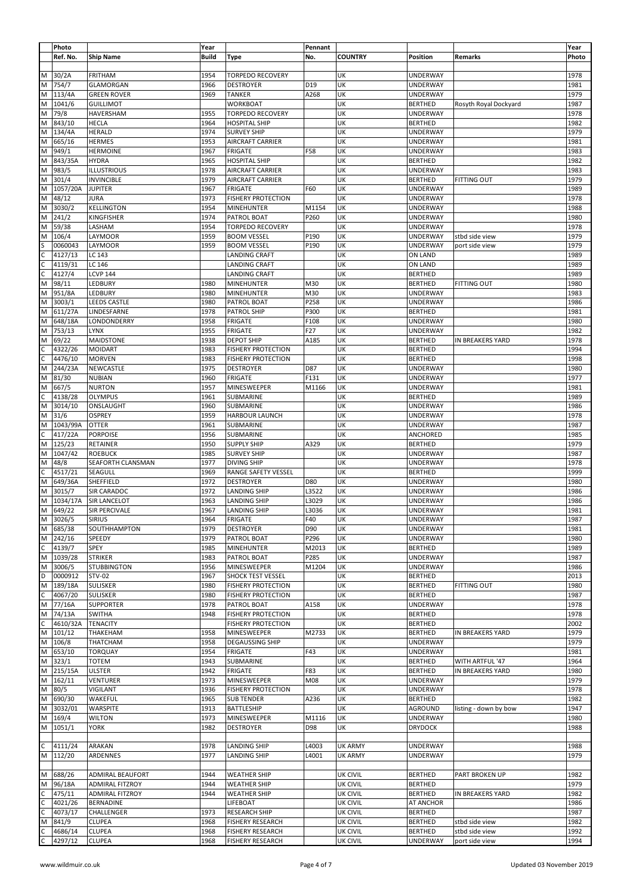|                                                          | Photo                            |                         | Year         |                            | Pennant |                 |                 |                       | Year  |
|----------------------------------------------------------|----------------------------------|-------------------------|--------------|----------------------------|---------|-----------------|-----------------|-----------------------|-------|
|                                                          | Ref. No.                         | <b>Ship Name</b>        | <b>Build</b> | <b>Type</b>                | No.     | <b>COUNTRY</b>  | Position        | Remarks               | Photo |
|                                                          |                                  |                         |              |                            |         |                 |                 |                       |       |
| M                                                        | 30/2A                            | <b>FRITHAM</b>          | 1954         | <b>TORPEDO RECOVERY</b>    |         | UK              | <b>UNDERWAY</b> |                       | 1978  |
| M                                                        | 754/7                            | GLAMORGAN               | 1966         | <b>DESTROYER</b>           | D19     | UK              | <b>UNDERWAY</b> |                       | 1981  |
| $\overline{\mathsf{M}}$                                  | 113/4A                           | <b>GREEN ROVER</b>      | 1969         | <b>TANKER</b>              | A268    | UK              | <b>UNDERWAY</b> |                       | 1979  |
| $\overline{M}$                                           | 1041/6                           | <b>GUILLIMOT</b>        |              | <b>WORKBOAT</b>            |         | UK              | <b>BERTHED</b>  | Rosyth Royal Dockyard | 1987  |
| $\overline{M}$                                           | 79/8                             | HAVERSHAM               | 1955         | <b>TORPEDO RECOVERY</b>    |         | UK              | <b>UNDERWAY</b> |                       | 1978  |
| $\overline{M}$                                           | 843/10                           | <b>HECLA</b>            | 1964         | <b>HOSPITAL SHIP</b>       |         | UK              | <b>BERTHED</b>  |                       | 1982  |
| M                                                        | 134/4A                           | <b>HERALD</b>           | 1974         | <b>SURVEY SHIP</b>         |         | UK              | <b>UNDERWAY</b> |                       | 1979  |
| $\overline{M}$                                           | 665/16                           | <b>HERMES</b>           | 1953         | AIRCRAFT CARRIER           |         | UK              | <b>UNDERWAY</b> |                       | 1981  |
| $\overline{\mathsf{M}}$                                  | 949/1                            | <b>HERMOINE</b>         | 1967         | <b>FRIGATE</b>             | F58     | UK              | <b>UNDERWAY</b> |                       | 1983  |
| M                                                        | 843/35A                          | <b>HYDRA</b>            | 1965         | <b>HOSPITAL SHIP</b>       |         | UK              | <b>BERTHED</b>  |                       | 1982  |
| M                                                        | 983/5                            | <b>ILLUSTRIOUS</b>      | 1978         | <b>AIRCRAFT CARRIER</b>    |         | UK              | <b>UNDERWAY</b> |                       | 1983  |
| $\overline{M}$                                           | 301/4                            | <b>INVINCIBLE</b>       | 1979         | AIRCRAFT CARRIER           |         | UK              | <b>BERTHED</b>  | <b>FITTING OUT</b>    | 1979  |
| M                                                        | 1057/20A                         | <b>JUPITER</b>          | 1967         | <b>FRIGATE</b>             | F60     | UK              | <b>UNDERWAY</b> |                       | 1989  |
| $\overline{M}$                                           | 48/12                            | <b>JURA</b>             | 1973         | <b>FISHERY PROTECTION</b>  |         | UK              | <b>UNDERWAY</b> |                       | 1978  |
| $\overline{M}$                                           | 3030/2                           | <b>KELLINGTON</b>       | 1954         | <b>MINEHUNTER</b>          | M1154   | UK              | <b>UNDERWAY</b> |                       | 1988  |
| $\overline{M}$                                           | 241/2                            | KINGFISHER              | 1974         | PATROL BOAT                | P260    | UK              | <b>UNDERWAY</b> |                       | 1980  |
| M                                                        |                                  |                         |              |                            |         |                 |                 |                       |       |
| $\overline{M}$                                           | 59/38                            | LASHAM                  | 1954         | <b>TORPEDO RECOVERY</b>    |         | UK              | <b>UNDERWAY</b> |                       | 1978  |
|                                                          | 106/4                            | LAYMOOR                 | 1959         | <b>BOOM VESSEL</b>         | P190    | UK              | UNDERWAY        | stbd side view        | 1979  |
| $rac{1}{c}$                                              | 0060043                          | LAYMOOR                 | 1959         | <b>BOOM VESSEL</b>         | P190    | UK              | UNDERWAY        | port side view        | 1979  |
|                                                          | 4127/13                          | LC 143                  |              | <b>LANDING CRAFT</b>       |         | UK              | ON LAND         |                       | 1989  |
| $rac{c}{c}$                                              | 4119/31                          | LC 146                  |              | <b>LANDING CRAFT</b>       |         | UK              | ON LAND         |                       | 1989  |
|                                                          | 4127/4                           | <b>LCVP 144</b>         |              | <b>LANDING CRAFT</b>       |         | UK              | <b>BERTHED</b>  |                       | 1989  |
| M                                                        | 98/11                            | LEDBURY                 | 1980         | <b>MINEHUNTER</b>          | M30     | UK              | <b>BERTHED</b>  | <b>FITTING OUT</b>    | 1980  |
| $\overline{M}$                                           | 951/8A                           | LEDBURY                 | 1980         | <b>MINEHUNTER</b>          | M30     | UK              | <b>UNDERWAY</b> |                       | 1983  |
| $\overline{M}$                                           | 3003/1                           | <b>LEEDS CASTLE</b>     | 1980         | PATROL BOAT                | P258    | UK              | <b>UNDERWAY</b> |                       | 1986  |
| $\overline{\mathsf{M}}$                                  | 611/27A                          | LINDESFARNE             | 1978         | PATROL SHIP                | P300    | UK              | <b>BERTHED</b>  |                       | 1981  |
| M                                                        | 648/18A                          | LONDONDERRY             | 1958         | <b>FRIGATE</b>             | F108    | UK              | <b>UNDERWAY</b> |                       | 1980  |
| $\overline{M}$                                           | 753/13                           | <b>LYNX</b>             | 1955         | <b>FRIGATE</b>             | F27     | UK              | <b>UNDERWAY</b> |                       | 1982  |
| M                                                        | 69/22                            | <b>MAIDSTONE</b>        | 1938         | <b>DEPOT SHIP</b>          | A185    | UK              | <b>BERTHED</b>  | IN BREAKERS YARD      | 1978  |
|                                                          | 4322/26                          | <b>MOIDART</b>          | 1983         | <b>FISHERY PROTECTION</b>  |         | UK              | <b>BERTHED</b>  |                       | 1994  |
| 0                                                        | 4476/10                          | <b>MORVEN</b>           | 1983         | <b>FISHERY PROTECTION</b>  |         | UK              | <b>BERTHED</b>  |                       | 1998  |
| $\overline{\mathsf{M}}$                                  | 244/23A                          | NEWCASTLE               | 1975         | <b>DESTROYER</b>           | D87     | UK              | <b>UNDERWAY</b> |                       | 1980  |
| M                                                        | 81/30                            | <b>NUBIAN</b>           | 1960         | <b>FRIGATE</b>             | F131    | UK              |                 |                       | 1977  |
|                                                          |                                  |                         |              |                            |         |                 | <b>UNDERWAY</b> |                       |       |
| M                                                        | 667/5                            | <b>NURTON</b>           | 1957         | MINESWEEPER                | M1166   | UK              | <b>UNDERWAY</b> |                       | 1981  |
| $\overline{c}$                                           | 4138/28                          | <b>OLYMPUS</b>          | 1961         | <b>SUBMARINE</b>           |         | UK              | <b>BERTHED</b>  |                       | 1989  |
| $\overline{\mathsf{M}}$                                  | 3014/10                          | ONSLAUGHT               | 1960         | SUBMARINE                  |         | UK              | UNDERWAY        |                       | 1986  |
| $\overline{\mathsf{M}}$                                  | 31/6                             | <b>OSPREY</b>           | 1959         | <b>HARBOUR LAUNCH</b>      |         | UK              | <b>UNDERWAY</b> |                       | 1978  |
| M                                                        | 1043/99A                         | <b>OTTER</b>            | 1961         | SUBMARINE                  |         | UK              | UNDERWAY        |                       | 1987  |
| $\overline{c}$                                           | 417/22A                          | <b>PORPOISE</b>         | 1956         | SUBMARINE                  |         | UK              | ANCHORED        |                       | 1985  |
| $\overline{M}$                                           | 125/23                           | <b>RETAINER</b>         | 1950         | <b>SUPPLY SHIP</b>         | A329    | UK              | <b>BERTHED</b>  |                       | 1979  |
| $\overline{\mathsf{M}}$                                  | 1047/42                          | <b>ROEBUCK</b>          | 1985         | <b>SURVEY SHIP</b>         |         | UK              | <b>UNDERWAY</b> |                       | 1987  |
| $\overline{\mathsf{M}}$                                  | 48/8                             | SEAFORTH CLANSMAN       | 1977         | <b>DIVING SHIP</b>         |         | UK              | <b>UNDERWAY</b> |                       | 1978  |
| $\overline{\mathsf{c}}$                                  | 4517/21                          | SEAGULL                 | 1969         | RANGE SAFETY VESSEL        |         | UK              | <b>BERTHED</b>  |                       | 1999  |
| $\overline{M}$                                           | 649/36A                          | SHEFFIELD               | 1972         | <b>DESTROYER</b>           | D80     | UK              | UNDERWAY        |                       | 1980  |
| M                                                        | 3015/7                           | SIR CARADOC             | 1972         | <b>LANDING SHIP</b>        | L3522   | UK              | UNDERWAY        |                       | 1986  |
| M                                                        | 1034/17A                         | <b>SIR LANCELOT</b>     | 1963         | <b>LANDING SHIP</b>        | L3029   | UK              | UNDERWAY        |                       | 1986  |
|                                                          |                                  | SIR PERCIVALE           | 1967         | <b>LANDING SHIP</b>        | L3036   | UK              | UNDERWAY        |                       | 1981  |
|                                                          | $\frac{M}{M}$ 649/22<br>M 3026/5 | <b>SIRIUS</b>           | 1964         | FRIGATE                    | F40     | UK              | <b>UNDERWAY</b> |                       | 1987  |
| M                                                        | 685/38                           | SOUTHHAMPTON            | 1979         | <b>DESTROYER</b>           | D90     | UK              | <b>UNDERWAY</b> |                       | 1981  |
|                                                          | 242/16                           | SPEEDY                  | 1979         | PATROL BOAT                | P296    | UK              | <b>UNDERWAY</b> |                       | 1980  |
| $\frac{M}{C}$                                            | 4139/7                           | SPEY                    | 1985         | <b>MINEHUNTER</b>          | M2013   | UK              | <b>BERTHED</b>  |                       | 1989  |
|                                                          | 1039/28                          |                         |              |                            |         | UK              | <b>UNDERWAY</b> |                       |       |
|                                                          |                                  | <b>STRIKER</b>          | 1983         | PATROL BOAT<br>MINESWEEPER | P285    |                 | <b>UNDERWAY</b> |                       | 1987  |
| M                                                        | 3006/5                           | <b>STUBBINGTON</b>      | 1956         |                            | M1204   | UK              |                 |                       | 1986  |
| $\frac{D}{M}$                                            | 0000912                          | <b>STV-02</b>           | 1967         | <b>SHOCK TEST VESSEL</b>   |         | UK              | <b>BERTHED</b>  |                       | 2013  |
|                                                          | 189/18A                          | <b>SULISKER</b>         | 1980         | <b>FISHERY PROTECTION</b>  |         | UK              | <b>BERTHED</b>  | <b>FITTING OUT</b>    | 1980  |
| $rac{C}{M}$                                              | 4067/20                          | <b>SULISKER</b>         | 1980         | <b>FISHERY PROTECTION</b>  |         | UK              | <b>BERTHED</b>  |                       | 1987  |
|                                                          | 77/16A                           | <b>SUPPORTER</b>        | 1978         | PATROL BOAT                | A158    | UK              | <b>UNDERWAY</b> |                       | 1978  |
| $\overline{\mathsf{M}}$                                  | 74/13A                           | <b>SWITHA</b>           | 1948         | <b>FISHERY PROTECTION</b>  |         | UK              | <b>BERTHED</b>  |                       | 1978  |
| $rac{c}{M}$                                              | 4610/32A                         | <b>TENACITY</b>         |              | <b>FISHERY PROTECTION</b>  |         | UK              | <b>BERTHED</b>  |                       | 2002  |
|                                                          | 101/12                           | THAKEHAM                | 1958         | MINESWEEPER                | M2733   | UK              | <b>BERTHED</b>  | IN BREAKERS YARD      | 1979  |
| $\overline{M}$                                           | 106/8                            | THATCHAM                | 1958         | <b>DEGAUSSING SHIP</b>     |         | UK              | <b>UNDERWAY</b> |                       | 1979  |
| $\overline{M}$                                           | 653/10                           | <b>TORQUAY</b>          | 1954         | <b>FRIGATE</b>             | F43     | UK              | <b>UNDERWAY</b> |                       | 1981  |
| $\overline{M}$                                           | 323/1                            | <b>TOTEM</b>            | 1943         | SUBMARINE                  |         | UK              | <b>BERTHED</b>  | WITH ARTFUL '47       | 1964  |
| $\overline{\mathsf{M}}$                                  | 215/15A                          | <b>ULSTER</b>           | 1942         | <b>FRIGATE</b>             | F83     | UK              | <b>BERTHED</b>  | IN BREAKERS YARD      | 1980  |
| M                                                        | 162/11                           | <b>VENTURER</b>         | 1973         | MINESWEEPER                | M08     | UK              | <b>UNDERWAY</b> |                       | 1979  |
| $\overline{M}$                                           | 80/5                             | <b>VIGILANT</b>         | 1936         | <b>FISHERY PROTECTION</b>  |         | UK              | <b>UNDERWAY</b> |                       | 1978  |
| $\overline{M}$                                           | 690/30                           | WAKEFUL                 | 1965         | <b>SUB TENDER</b>          | A236    | UK              | <b>BERTHED</b>  |                       | 1982  |
| $\overline{M}$                                           | 3032/01                          | WARSPITE                | 1913         | <b>BATTLESHIP</b>          |         | UK              | AGROUND         | listing - down by bow | 1947  |
| M                                                        | 169/4                            | <b>WILTON</b>           | 1973         | MINESWEEPER                | M1116   | UK              | <b>UNDERWAY</b> |                       | 1980  |
| $\overline{\mathsf{M}}$                                  | 1051/1                           | <b>YORK</b>             | 1982         | DESTROYER                  | D98     | UK              | <b>DRYDOCK</b>  |                       | 1988  |
|                                                          |                                  |                         |              |                            |         |                 |                 |                       |       |
|                                                          | 4111/24                          | ARAKAN                  |              |                            |         | <b>UK ARMY</b>  | UNDERWAY        |                       | 1988  |
| $\frac{c}{\text{N}}$                                     |                                  |                         | 1978         | <b>LANDING SHIP</b>        | L4003   |                 |                 |                       |       |
|                                                          | 112/20                           | ARDENNES                | 1977         | <b>LANDING SHIP</b>        | L4001   | <b>UK ARMY</b>  | UNDERWAY        |                       | 1979  |
|                                                          |                                  |                         |              |                            |         |                 |                 |                       |       |
| M                                                        | 688/26                           | <b>ADMIRAL BEAUFORT</b> | 1944         | <b>WEATHER SHIP</b>        |         | <b>UK CIVIL</b> | <b>BERTHED</b>  | PART BROKEN UP        | 1982  |
| M                                                        | 96/18A                           | <b>ADMIRAL FITZROY</b>  | 1944         | <b>WEATHER SHIP</b>        |         | UK CIVIL        | <b>BERTHED</b>  |                       | 1979  |
|                                                          | 475/11                           | <b>ADMIRAL FITZROY</b>  | 1944         | <b>WEATHER SHIP</b>        |         | <b>UK CIVIL</b> | <b>BERTHED</b>  | IN BREAKERS YARD      | 1982  |
| $\begin{array}{c c c c c c c c} \hline c&c&c\end{array}$ | 4021/26                          | BERNADINE               |              | LIFEBOAT                   |         | UK CIVIL        | AT ANCHOR       |                       | 1986  |
|                                                          | 4073/17                          | CHALLENGER              | 1973         | <b>RESEARCH SHIP</b>       |         | <b>UK CIVIL</b> | <b>BERTHED</b>  |                       | 1987  |
|                                                          | 841/9                            | <b>CLUPEA</b>           | 1968         | <b>FISHERY RESEARCH</b>    |         | UK CIVIL        | <b>BERTHED</b>  | stbd side view        | 1982  |
|                                                          | 4686/14                          | <b>CLUPEA</b>           | 1968         | <b>FISHERY RESEARCH</b>    |         | <b>UK CIVIL</b> | <b>BERTHED</b>  | stbd side view        | 1992  |
|                                                          | 4297/12                          | <b>CLUPEA</b>           | 1968         | <b>FISHERY RESEARCH</b>    |         | <b>UK CIVIL</b> | UNDERWAY        | port side view        | 1994  |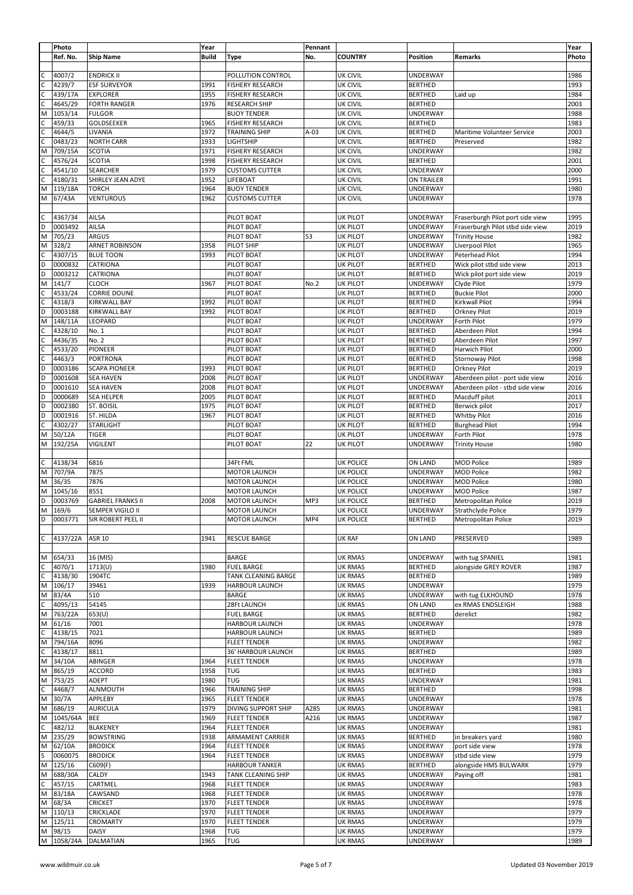|                | Photo      |                          | Year         |                         | Pennant |                  |                 |                                  | Year  |
|----------------|------------|--------------------------|--------------|-------------------------|---------|------------------|-----------------|----------------------------------|-------|
|                | Ref. No.   | <b>Ship Name</b>         | <b>Build</b> | Type                    | No.     | <b>COUNTRY</b>   | Position        | Remarks                          | Photo |
|                |            |                          |              |                         |         |                  |                 |                                  |       |
| $\mathsf{C}$   | 4007/2     |                          |              |                         |         | <b>UK CIVIL</b>  |                 |                                  | 1986  |
|                |            | <b>ENDRICK II</b>        |              | POLLUTION CONTROL       |         |                  | <b>UNDERWAY</b> |                                  |       |
| $\mathsf C$    | 4239/7     | <b>ESF SURVEYOR</b>      | 1991         | <b>FISHERY RESEARCH</b> |         | <b>UK CIVIL</b>  | <b>BERTHED</b>  |                                  | 1993  |
| $\overline{c}$ | 439/17A    | <b>EXPLORER</b>          | 1955         | <b>FISHERY RESEARCH</b> |         | <b>UK CIVIL</b>  | <b>BERTHED</b>  | Laid up                          | 1984  |
| $\mathsf{C}$   | 4645/29    | <b>FORTH RANGER</b>      | 1976         | <b>RESEARCH SHIP</b>    |         | UK CIVIL         | <b>BERTHED</b>  |                                  | 2003  |
| M              | 1053/14    | <b>FULGOR</b>            |              | <b>BUOY TENDER</b>      |         | <b>UK CIVIL</b>  | <b>UNDERWAY</b> |                                  | 1988  |
|                | 459/33     | GOLDSEEKER               | 1965         | <b>FISHERY RESEARCH</b> |         | <b>UK CIVIL</b>  | <b>BERTHED</b>  |                                  | 1983  |
| $\mathsf{C}$   | 4644/5     | LIVANIA                  | 1972         | TRAINING SHIP           | $A-03$  | <b>UK CIVIL</b>  | <b>BERTHED</b>  | Maritime Volunteer Service       | 2003  |
|                | 0483/23    | <b>NORTH CARR</b>        | 1933         | LIGHTSHIP               |         | UK CIVIL         | <b>BERTHED</b>  | Preserved                        | 1982  |
| M              | 709/15A    | <b>SCOTIA</b>            | 1971         | <b>FISHERY RESEARCH</b> |         | <b>UK CIVIL</b>  | UNDERWAY        |                                  | 1982  |
|                |            |                          |              |                         |         |                  |                 |                                  |       |
| C              | 4576/24    | <b>SCOTIA</b>            | 1998         | <b>FISHERY RESEARCH</b> |         | <b>UK CIVIL</b>  | <b>BERTHED</b>  |                                  | 2001  |
| c              | 4541/10    | <b>SEARCHER</b>          | 1979         | <b>CUSTOMS CUTTER</b>   |         | <b>UK CIVIL</b>  | UNDERWAY        |                                  | 2000  |
| $\mathsf{C}$   | 4180/31    | SHIRLEY JEAN ADYE        | 1952         | LIFEBOAT                |         | UK CIVIL         | ON TRAILER      |                                  | 1991  |
| M              | 119/18A    | TORCH                    | 1964         | <b>BUOY TENDER</b>      |         | UK CIVIL         | <b>UNDERWAY</b> |                                  | 1980  |
| M              | 67/43A     | VENTUROUS                | 1962         | <b>CUSTOMS CUTTER</b>   |         | <b>UK CIVIL</b>  | <b>UNDERWAY</b> |                                  | 1978  |
|                |            |                          |              |                         |         |                  |                 |                                  |       |
| $\mathsf{C}$   |            |                          |              |                         |         |                  | <b>UNDERWAY</b> |                                  | 1995  |
|                | 4367/34    | AILSA                    |              | PILOT BOAT              |         | <b>UK PILOT</b>  |                 | Fraserburgh Pilot port side view |       |
| D              | 0003492    | AILSA                    |              | PILOT BOAT              |         | <b>UK PILOT</b>  | UNDERWAY        | Fraserburgh Pilot stbd side view | 2019  |
| M              | 705/23     | ARGUS                    |              | PILOT BOAT              | 53      | <b>UK PILOT</b>  | <b>UNDERWAY</b> | <b>Trinity House</b>             | 1982  |
| M              | 328/2      | <b>ARNET ROBINSON</b>    | 1958         | PILOT SHIP              |         | <b>UK PILOT</b>  | UNDERWAY        | Liverpool Pilot                  | 1965  |
| C              | 4307/15    | <b>BLUE TOON</b>         | 1993         | PILOT BOAT              |         | <b>UK PILOT</b>  | <b>UNDERWAY</b> | Peterhead Pilot                  | 1994  |
| D              | 0000832    | CATRIONA                 |              | PILOT BOAT              |         | <b>UK PILOT</b>  | <b>BERTHED</b>  | Wick pilot stbd side view        | 2013  |
| D              | 0003212    | CATRIONA                 |              |                         |         | <b>UK PILOT</b>  | <b>BERTHED</b>  |                                  | 2019  |
|                |            |                          |              | PILOT BOAT              |         |                  |                 | Wick pilot port side view        |       |
| M              | 141/7      | <b>CLOCH</b>             | 1967         | PILOT BOAT              | No.2    | <b>UK PILOT</b>  | UNDERWAY        | Clyde Pilot                      | 1979  |
| $\mathsf{C}$   | 4533/24    | <b>CORRIE DOUNE</b>      |              | PILOT BOAT              |         | <b>UK PILOT</b>  | <b>BERTHED</b>  | <b>Buckie Pilot</b>              | 2000  |
| C              | 4318/3     | <b>KIRKWALL BAY</b>      | 1992         | PILOT BOAT              |         | <b>UK PILOT</b>  | <b>BERTHED</b>  | Kirkwall Pilot                   | 1994  |
| O              | 0003188    | <b>KIRKWALL BAY</b>      | 1992         | PILOT BOAT              |         | <b>UK PILOT</b>  | <b>BERTHED</b>  | Orkney Pilot                     | 2019  |
| M              | 148/11A    | LEOPARD                  |              | PILOT BOAT              |         | <b>UK PILOT</b>  | <b>UNDERWAY</b> | Forth Pilot                      | 1979  |
| $\mathsf{C}$   | 4328/10    | No. 1                    |              | PILOT BOAT              |         | <b>UK PILOT</b>  | <b>BERTHED</b>  | Aberdeen Pilot                   | 1994  |
|                |            |                          |              |                         |         |                  |                 |                                  |       |
| $\mathsf{C}$   | 4436/35    | No. 2                    |              | PILOT BOAT              |         | <b>UK PILOT</b>  | <b>BERTHED</b>  | Aberdeen Pilot                   | 1997  |
| $\mathsf{C}$   | 4533/20    | PIONEER                  |              | PILOT BOAT              |         | <b>UK PILOT</b>  | <b>BERTHED</b>  | Harwich Pilot                    | 2000  |
| $\mathsf{C}$   | 4463/3     | PORTRONA                 |              | PILOT BOAT              |         | <b>UK PILOT</b>  | <b>BERTHED</b>  | Stornoway Pilot                  | 1998  |
| D              | 0003186    | <b>SCAPA PIONEER</b>     | 1993         | PILOT BOAT              |         | <b>UK PILOT</b>  | <b>BERTHED</b>  | Orkney Pilot                     | 2019  |
| D              | 0001608    | <b>SEA HAVEN</b>         | 2008         | PILOT BOAT              |         | <b>UK PILOT</b>  | <b>UNDERWAY</b> | Aberdeen pilot - port side view  | 2016  |
| D              |            |                          | 2008         |                         |         |                  |                 |                                  |       |
|                | 0001610    | <b>SEA HAVEN</b>         |              | PILOT BOAT              |         | <b>UK PILOT</b>  | UNDERWAY        | Aberdeen pilot - stbd side view  | 2016  |
| D              | 0000689    | <b>SEA HELPER</b>        | 2005         | PILOT BOAT              |         | <b>UK PILOT</b>  | <b>BERTHED</b>  | Macduff pilot                    | 2013  |
| D              | 0002380    | ST. BOISIL               | 1975         | PILOT BOAT              |         | <b>UK PILOT</b>  | <b>BERTHED</b>  | Berwick pilot                    | 2017  |
| D              | 0001916    | ST. HILDA                | 1967         | PILOT BOAT              |         | <b>UK PILOT</b>  | <b>BERTHED</b>  | Whitby Pilot                     | 2016  |
| $\mathsf{C}$   | 4302/27    | <b>STARLIGHT</b>         |              | PILOT BOAT              |         | <b>UK PILOT</b>  | <b>BERTHED</b>  | <b>Burghead Pilot</b>            | 1994  |
| M              | 50/12A     | TIGER                    |              | PILOT BOAT              |         | <b>UK PILOT</b>  | UNDERWAY        | Forth Pilot                      | 1978  |
|                |            |                          |              |                         |         |                  |                 |                                  |       |
| M              | 192/25A    | <b>VIGILENT</b>          |              | PILOT BOAT              | 22      | <b>UK PILOT</b>  | UNDERWAY        | <b>Trinity House</b>             | 1980  |
|                |            |                          |              |                         |         |                  |                 |                                  |       |
| C              | 4138/34    | 6816                     |              | 34Ft FML                |         | <b>UK POLICE</b> | ON LAND         | <b>MOD Police</b>                | 1989  |
| M              | 707/9A     | 7875                     |              | <b>MOTOR LAUNCH</b>     |         | <b>UK POLICE</b> | UNDERWAY        | <b>MOD Police</b>                | 1982  |
| M              | 36/35      | 7876                     |              | <b>MOTOR LAUNCH</b>     |         | <b>UK POLICE</b> | UNDERWAY        | <b>MOD Police</b>                | 1980  |
| M              | 1045/16    | 8551                     |              |                         |         | <b>UK POLICE</b> | <b>UNDERWAY</b> |                                  | 1987  |
|                |            |                          |              | <b>MOTOR LAUNCH</b>     |         |                  |                 | <b>MOD Police</b>                |       |
| D              | 0003769    | <b>GABRIEL FRANKS II</b> | 2008         | <b>MOTOR LAUNCH</b>     | MP3     | <b>UK POLICE</b> | <b>BERTHED</b>  | Metropolitan Police              | 2019  |
| M              | 169/6      | SEMPER VIGILO II         |              | <b>MOTOR LAUNCH</b>     |         | <b>UK POLICE</b> | <b>UNDERWAY</b> | Strathclyde Police               | 1979  |
| D              | 0003771    | ISIR ROBERT PEEL II      |              | <b>MOTOR LAUNCH</b>     | MP4     | <b>UK POLICE</b> | <b>BERTHED</b>  | Metropolitan Police              | 2019  |
|                |            |                          |              |                         |         |                  |                 |                                  |       |
| C              | 4137/22A   | <b>ASR 10</b>            | 1941         | <b>RESCUE BARGE</b>     |         | <b>UK RAF</b>    | ON LAND         | PRESERVED                        | 1989  |
|                |            |                          |              |                         |         |                  |                 |                                  |       |
|                |            |                          |              |                         |         |                  |                 |                                  |       |
| M              | 654/33     | 16 (MIS)                 |              | <b>BARGE</b>            |         | <b>UK RMAS</b>   | <b>UNDERWAY</b> | with tug SPANIEL                 | 1981  |
| $\mathsf{C}$   | 4070/1     | 1713(U)                  | 1980         | <b>FUEL BARGE</b>       |         | <b>UK RMAS</b>   | <b>BERTHED</b>  | alongside GREY ROVER             | 1987  |
| $\mathsf C$    | 4138/30    | 1904TC                   |              | TANK CLEANING BARGE     |         | <b>UK RMAS</b>   | <b>BERTHED</b>  |                                  | 1989  |
| M              | 106/17     | 39461                    | 1939         | <b>HARBOUR LAUNCH</b>   |         | UK RMAS          | <b>UNDERWAY</b> |                                  | 1979  |
| M              | 83/4A      | 510                      |              | <b>BARGE</b>            |         | UK RMAS          | UNDERWAY        | with tug ELKHOUND                | 1978  |
| $\mathsf{C}$   | 4095/13    | 54145                    |              | 28Ft LAUNCH             |         | <b>UK RMAS</b>   | ON LAND         | ex RMAS ENDSLEIGH                | 1988  |
|                |            |                          |              |                         |         |                  |                 |                                  |       |
| M              | 763/22A    | 653(U)                   |              | <b>FUEL BARGE</b>       |         | UK RMAS          | <b>BERTHED</b>  | derelict                         | 1982  |
| M              | 61/16      | 7001                     |              | HARBOUR LAUNCH          |         | <b>UK RMAS</b>   | UNDERWAY        |                                  | 1978  |
| C              | 4138/15    | 7021                     |              | HARBOUR LAUNCH          |         | <b>UK RMAS</b>   | <b>BERTHED</b>  |                                  | 1989  |
| M              | 794/16A    | 8096                     |              | <b>FLEET TENDER</b>     |         | <b>UK RMAS</b>   | <b>UNDERWAY</b> |                                  | 1982  |
| C              | 4138/17    | 8811                     |              | 36' HARBOUR LAUNCH      |         | <b>UK RMAS</b>   | <b>BERTHED</b>  |                                  | 1989  |
| M              | 34/10A     | ABINGER                  | 1964         | <b>FLEET TENDER</b>     |         | <b>UK RMAS</b>   | <b>UNDERWAY</b> |                                  | 1978  |
|                |            |                          |              |                         |         |                  |                 |                                  |       |
| M              | 865/19     | ACCORD                   | 1958         | TUG                     |         | <b>UK RMAS</b>   | <b>BERTHED</b>  |                                  | 1983  |
| M              | 753/25     | ADEPT                    | 1980         | <b>TUG</b>              |         | <b>UK RMAS</b>   | <b>UNDERWAY</b> |                                  | 1981  |
| $\mathsf{C}$   | 4468/7     | ALNMOUTH                 | 1966         | <b>TRAINING SHIP</b>    |         | <b>UK RMAS</b>   | <b>BERTHED</b>  |                                  | 1998  |
| M              | 30/7A      | APPLEBY                  | 1965         | <b>FLEET TENDER</b>     |         | <b>UK RMAS</b>   | <b>UNDERWAY</b> |                                  | 1978  |
| M              | 686/19     | <b>AURICULA</b>          | 1979         | DIVING SUPPORT SHIP     | A285    | <b>UK RMAS</b>   | UNDERWAY        |                                  | 1981  |
| M              | 1045/64A   | <b>BEE</b>               | 1969         | <b>FLEET TENDER</b>     | A216    | <b>UK RMAS</b>   | UNDERWAY        |                                  |       |
|                |            |                          |              |                         |         |                  |                 |                                  | 1987  |
| C              | 482/12     | <b>BLAKENEY</b>          | 1964         | <b>FLEET TENDER</b>     |         | <b>UK RMAS</b>   | <b>UNDERWAY</b> |                                  | 1981  |
| M              | 235/29     | <b>BOWSTRING</b>         | 1938         | ARMAMENT CARRIER        |         | <b>UK RMAS</b>   | <b>BERTHED</b>  | in breakers yard                 | 1980  |
| M              | 62/10A     | <b>BRODICK</b>           | 1964         | <b>FLEET TENDER</b>     |         | <b>UK RMAS</b>   | <b>UNDERWAY</b> | port side view                   | 1978  |
| S              | 0060075    | <b>BRODICK</b>           | 1964         | <b>FLEET TENDER</b>     |         | <b>UK RMAS</b>   | <b>UNDERWAY</b> | stbd side view                   | 1979  |
| M              | 125/16     | C609(F)                  |              | <b>HARBOUR TANKER</b>   |         | <b>UK RMAS</b>   | <b>BERTHED</b>  | alongside HMS BULWARK            | 1979  |
| M              | 688/30A    | CALDY                    | 1943         | TANK CLEANING SHIP      |         | <b>UK RMAS</b>   | <b>UNDERWAY</b> |                                  | 1981  |
|                |            |                          |              |                         |         |                  |                 | Paying off                       |       |
| C              | 457/15     | CARTMEL                  | 1968         | <b>FLEET TENDER</b>     |         | <b>UK RMAS</b>   | <b>UNDERWAY</b> |                                  | 1983  |
| M              | 83/18A     | CAWSAND                  | 1968         | <b>FLEET TENDER</b>     |         | <b>UK RMAS</b>   | UNDERWAY        |                                  | 1978  |
| M              | 68/3A      | <b>CRICKET</b>           | 1970         | <b>FLEET TENDER</b>     |         | <b>UK RMAS</b>   | <b>UNDERWAY</b> |                                  | 1978  |
| M              | 110/13     | CRICKLADE                | 1970         | <b>FLEET TENDER</b>     |         | <b>UK RMAS</b>   | <b>UNDERWAY</b> |                                  | 1979  |
| M              | 125/11     | <b>CROMARTY</b>          | 1970         | <b>FLEET TENDER</b>     |         | <b>UK RMAS</b>   | UNDERWAY        |                                  | 1979  |
|                |            |                          |              |                         |         |                  |                 |                                  |       |
| M              | 98/15      | DAISY                    | 1968         | <b>TUG</b>              |         | <b>UK RMAS</b>   | UNDERWAY        |                                  | 1979  |
|                | M 1058/24A | DALMATIAN                | 1965         | TUG                     |         | <b>UK RMAS</b>   | <b>UNDERWAY</b> |                                  | 1989  |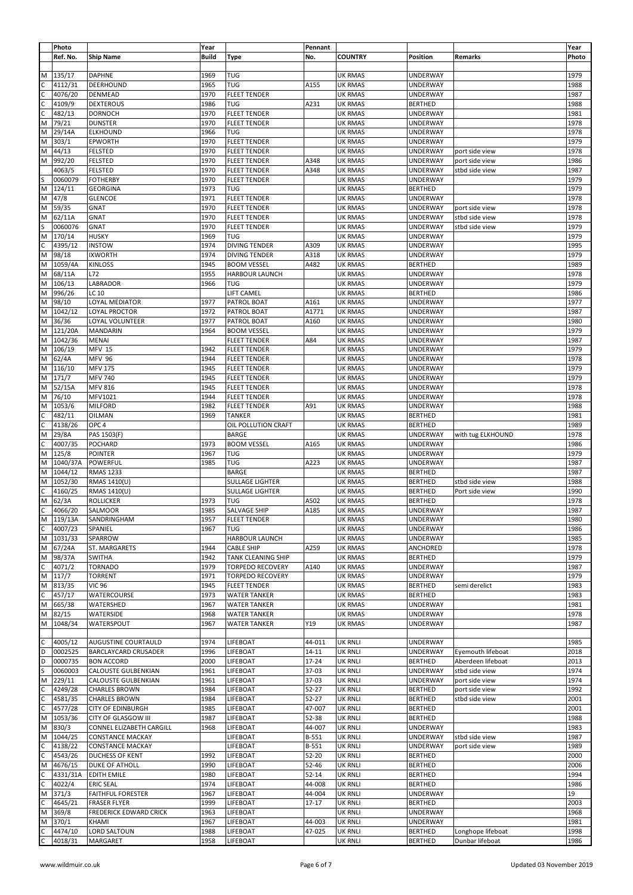|                | Photo       |                               | Year         |                         | Pennant   |                |                 |                   | Year  |
|----------------|-------------|-------------------------------|--------------|-------------------------|-----------|----------------|-----------------|-------------------|-------|
|                | Ref. No.    | <b>Ship Name</b>              | <b>Build</b> | Type                    | No.       | <b>COUNTRY</b> | Position        | Remarks           | Photo |
|                |             |                               |              |                         |           |                |                 |                   |       |
| M              | 135/17      |                               | 1969         | TUG                     |           | <b>UK RMAS</b> |                 |                   | 1979  |
|                |             | <b>DAPHNE</b>                 |              |                         |           |                | UNDERWAY        |                   |       |
| C              | 4112/31     | DEERHOUND                     | 1965         | TUG                     | A155      | UK RMAS        | UNDERWAY        |                   | 1988  |
| $\mathsf{C}$   | 4076/20     | DENMEAD                       | 1970         | <b>FLEET TENDER</b>     |           | UK RMAS        | UNDERWAY        |                   | 1987  |
|                | 4109/9      | <b>DEXTEROUS</b>              | 1986         | TUG                     | A231      | UK RMAS        | <b>BERTHED</b>  |                   | 1988  |
| $\mathsf{C}$   | 482/13      | <b>DORNOCH</b>                | 1970         | <b>FLEET TENDER</b>     |           | <b>UK RMAS</b> | UNDERWAY        |                   | 1981  |
| M              | 79/21       | <b>DUNSTER</b>                | 1970         | <b>FLEET TENDER</b>     |           | <b>UK RMAS</b> | UNDERWAY        |                   | 1978  |
| M              | 29/14A      | <b>ELKHOUND</b>               | 1966         | TUG                     |           | <b>UK RMAS</b> | UNDERWAY        |                   | 1978  |
| M              | 303/1       | <b>EPWORTH</b>                | 1970         | <b>FLEET TENDER</b>     |           | UK RMAS        | UNDERWAY        |                   | 1979  |
| M              | 44/13       | <b>FELSTED</b>                | 1970         | <b>FLEET TENDER</b>     |           | UK RMAS        | <b>UNDERWAY</b> | port side view    | 1978  |
|                |             |                               |              |                         |           |                |                 |                   |       |
| M              | 992/20      | <b>FELSTED</b>                | 1970         | <b>FLEET TENDER</b>     | A348      | <b>UK RMAS</b> | UNDERWAY        | port side view    | 1986  |
|                | 4063/5      | <b>FELSTED</b>                | 1970         | <b>FLEET TENDER</b>     | A348      | <b>UK RMAS</b> | <b>UNDERWAY</b> | stbd side view    | 1987  |
| S              | 0060079     | <b>FOTHERBY</b>               | 1970         | <b>FLEET TENDER</b>     |           | UK RMAS        | UNDERWAY        |                   | 1979  |
| M              | 124/11      | <b>GEORGINA</b>               | 1973         | TUG                     |           | <b>UK RMAS</b> | <b>BERTHED</b>  |                   | 1979  |
| M              | 47/8        | <b>GLENCOE</b>                | 1971         | <b>FLEET TENDER</b>     |           | <b>UK RMAS</b> | <b>UNDERWAY</b> |                   | 1978  |
| M              | 59/35       | <b>GNAT</b>                   | 1970         | <b>FLEET TENDER</b>     |           | <b>UK RMAS</b> | UNDERWAY        | port side view    | 1978  |
| M              | 62/11A      | <b>GNAT</b>                   | 1970         | <b>FLEET TENDER</b>     |           | <b>UK RMAS</b> | UNDERWAY        | stbd side view    | 1978  |
| S              | 0060076     | GNAT                          | 1970         | <b>FLEET TENDER</b>     |           | <b>UK RMAS</b> | UNDERWAY        | stbd side view    | 1979  |
|                |             |                               |              |                         |           |                |                 |                   |       |
| M              | 170/14      | <b>HUSKY</b>                  | 1969         | <b>TUG</b>              |           | <b>UK RMAS</b> | UNDERWAY        |                   | 1979  |
| C              | 4395/12     | <b>INSTOW</b>                 | 1974         | <b>DIVING TENDER</b>    | A309      | <b>UK RMAS</b> | UNDERWAY        |                   | 1995  |
| M              | 98/18       | <b>IXWORTH</b>                | 1974         | <b>DIVING TENDER</b>    | A318      | <b>UK RMAS</b> | <b>UNDERWAY</b> |                   | 1979  |
| M              | 1059/4A     | <b>KINLOSS</b>                | 1945         | <b>BOOM VESSEL</b>      | A482      | <b>UK RMAS</b> | <b>BERTHED</b>  |                   | 1989  |
| M              | 68/11A      | L72                           | 1955         | <b>HARBOUR LAUNCH</b>   |           | <b>UK RMAS</b> | <b>UNDERWAY</b> |                   | 1978  |
| M              | 106/13      | LABRADOR                      | 1966         | TUG                     |           | <b>UK RMAS</b> | UNDERWAY        |                   | 1979  |
| M              | 996/26      | <b>LC 10</b>                  |              | LIFT CAMEL              |           | <b>UK RMAS</b> | <b>BERTHED</b>  |                   | 1986  |
|                |             |                               |              |                         |           |                |                 |                   |       |
| M              | 98/10       | LOYAL MEDIATOR                | 1977         | PATROL BOAT             | A161      | <b>UK RMAS</b> | UNDERWAY        |                   | 1977  |
| M              | 1042/12     | LOYAL PROCTOR                 | 1972         | PATROL BOAT             | A1771     | <b>UK RMAS</b> | <b>UNDERWAY</b> |                   | 1987  |
| M              | 36/36       | LOYAL VOLUNTEER               | 1977         | PATROL BOAT             | A160      | <b>UK RMAS</b> | UNDERWAY        |                   | 1980  |
| M              | 121/20A     | <b>MANDARIN</b>               | 1964         | <b>BOOM VESSEL</b>      |           | <b>UK RMAS</b> | UNDERWAY        |                   | 1979  |
| M              | 1042/36     | <b>MENAI</b>                  |              | <b>FLEET TENDER</b>     | A84       | UK RMAS        | UNDERWAY        |                   | 1987  |
| M              | 106/19      | <b>MFV 15</b>                 | 1942         | <b>FLEET TENDER</b>     |           | UK RMAS        | UNDERWAY        |                   | 1979  |
| M              | 62/4A       |                               | 1944         |                         |           |                | UNDERWAY        |                   | 1978  |
|                |             | <b>MFV 96</b>                 |              | <b>FLEET TENDER</b>     |           | UK RMAS        |                 |                   |       |
| M              | 116/10      | <b>MFV 175</b>                | 1945         | <b>FLEET TENDER</b>     |           | <b>UK RMAS</b> | UNDERWAY        |                   | 1979  |
| M              | 171/7       | <b>MFV 740</b>                | 1945         | <b>FLEET TENDER</b>     |           | UK RMAS        | UNDERWAY        |                   | 1979  |
| M              | 52/15A      | <b>MFV 816</b>                | 1945         | <b>FLEET TENDER</b>     |           | UK RMAS        | UNDERWAY        |                   | 1978  |
| M              | 76/10       | MFV1021                       | 1944         | <b>FLEET TENDER</b>     |           | UK RMAS        | UNDERWAY        |                   | 1978  |
| M              | 1053/6      | <b>MILFORD</b>                | 1982         | <b>FLEET TENDER</b>     | A91       | <b>UK RMAS</b> | UNDERWAY        |                   | 1988  |
| C              | 482/11      | OILMAN                        | 1969         | <b>TANKER</b>           |           | <b>UK RMAS</b> | <b>BERTHED</b>  |                   | 1981  |
| $\overline{c}$ | 4138/26     |                               |              |                         |           |                | <b>BERTHED</b>  |                   | 1989  |
|                |             | OPC <sub>4</sub>              |              | OIL POLLUTION CRAFT     |           | <b>UK RMAS</b> |                 |                   |       |
| M              | 29/8A       | PAS 1503(F)                   |              | <b>BARGE</b>            |           | <b>UK RMAS</b> | <b>UNDERWAY</b> | with tug ELKHOUND | 1978  |
| $\mathsf C$    | 4007/35     | POCHARD                       | 1973         | <b>BOOM VESSEL</b>      | A165      | <b>UK RMAS</b> | UNDERWAY        |                   | 1986  |
| M              | 125/8       | POINTER                       | 1967         | TUG                     |           | <b>UK RMAS</b> | UNDERWAY        |                   | 1979  |
| M              | 1040/37A    | POWERFUL                      | 1985         | TUG                     | A223      | <b>UK RMAS</b> | UNDERWAY        |                   | 1987  |
| M              | 1044/12     | <b>RMAS 1233</b>              |              | <b>BARGE</b>            |           | <b>UK RMAS</b> | <b>BERTHED</b>  |                   | 1987  |
| M              | 1052/30     | RMAS 1410(U)                  |              | <b>SULLAGE LIGHTER</b>  |           | <b>UK RMAS</b> | <b>BERTHED</b>  | stbd side view    | 1988  |
| C              | 4160/25     | RMAS 1410(U)                  |              | SULLAGE LIGHTER         |           | <b>UK RMAS</b> | <b>BERTHED</b>  | Port side view    | 1990  |
|                |             |                               |              |                         |           |                |                 |                   |       |
| M              | 62/3A       | <b>ROLLICKER</b>              | 1973         | TUG                     | A502      | <b>UK RMAS</b> | <b>BERTHED</b>  |                   | 1978  |
| С              | 4066/20     | SALMOOR                       | 1985         | SALVAGE SHIP            | A185      | <b>UK RMAS</b> | UNDERWAY        |                   | 1987  |
|                | M   119/13A | SANDRINGHAM                   | 1957         | <b>FLEET TENDER</b>     |           | <b>UK RMAS</b> | UNDERWAY        |                   | 1980  |
| C              | 4007/23     | SPANIEL                       | 1967         | <b>TUG</b>              |           | UK RMAS        | <b>UNDERWAY</b> |                   | 1986  |
| M              | 1031/33     | SPARROW                       |              | HARBOUR LAUNCH          |           | <b>UK RMAS</b> | <b>UNDERWAY</b> |                   | 1985  |
| M              | 67/24A      | ST. MARGARETS                 | 1944         | <b>CABLE SHIP</b>       | A259      | <b>UK RMAS</b> | ANCHORED        |                   | 1978  |
| M              | 98/37A      | <b>SWITHA</b>                 | 1942         | TANK CLEANING SHIP      |           | <b>UK RMAS</b> | <b>BERTHED</b>  |                   | 1979  |
| $\mathsf{C}$   | 4071/2      |                               |              |                         |           |                |                 |                   |       |
|                |             | <b>TORNADO</b>                | 1979         | <b>TORPEDO RECOVERY</b> | A140      | <b>UK RMAS</b> | <b>UNDERWAY</b> |                   | 1987  |
| M              | 117/7       | TORRENT                       | 1971         | <b>TORPEDO RECOVERY</b> |           | <b>UK RMAS</b> | UNDERWAY        |                   | 1979  |
| M              | 813/35      | VIC 96                        | 1945         | <b>FLEET TENDER</b>     |           | <b>UK RMAS</b> | <b>BERTHED</b>  | semi derelict     | 1983  |
| $\mathsf{C}$   | 457/17      | WATERCOURSE                   | 1973         | <b>WATER TANKER</b>     |           | UK RMAS        | <b>BERTHED</b>  |                   | 1983  |
| M              | 665/38      | WATERSHED                     | 1967         | <b>WATER TANKER</b>     |           | UK RMAS        | UNDERWAY        |                   | 1981  |
| M              | 82/15       | WATERSIDE                     | 1968         | <b>WATER TANKER</b>     |           | UK RMAS        | UNDERWAY        |                   | 1978  |
| M              | 1048/34     | WATERSPOUT                    | 1967         | <b>WATER TANKER</b>     | Y19       | <b>UK RMAS</b> | <b>UNDERWAY</b> |                   | 1987  |
|                |             |                               |              |                         |           |                |                 |                   |       |
|                |             |                               |              |                         |           |                |                 |                   |       |
| $\mathsf C$    | 4005/12     | AUGUSTINE COURTAULD           | 1974         | LIFEBOAT                | 44-011    | <b>UK RNLI</b> | UNDERWAY        |                   | 1985  |
| D              | 0002525     | BARCLAYCARD CRUSADER          | 1996         | LIFEBOAT                | 14-11     | <b>UK RNLI</b> | <b>UNDERWAY</b> | Eyemouth lifeboat | 2018  |
| D              | 0000735     | <b>BON ACCORD</b>             | 2000         | LIFEBOAT                | 17-24     | <b>UK RNLI</b> | <b>BERTHED</b>  | Aberdeen lifeboat | 2013  |
| S              | 0060003     | CALOUSTE GULBENKIAN           | 1961         | LIFEBOAT                | 37-03     | <b>UK RNLI</b> | UNDERWAY        | stbd side view    | 1974  |
| M              | 229/11      | <b>CALOUSTE GULBENKIAN</b>    | 1961         | LIFEBOAT                | 37-03     | <b>UK RNLI</b> | <b>UNDERWAY</b> | port side view    | 1974  |
| $\mathsf C$    | 4249/28     | <b>CHARLES BROWN</b>          | 1984         | LIFEBOAT                | 52-27     | <b>UK RNLI</b> | <b>BERTHED</b>  | port side view    | 1992  |
| $\overline{c}$ | 4581/35     | <b>CHARLES BROWN</b>          | 1984         | LIFEBOAT                | 52-27     | <b>UK RNLI</b> | <b>BERTHED</b>  | stbd side view    | 2001  |
|                |             |                               |              |                         |           |                |                 |                   |       |
| $\mathsf{C}$   | 4577/28     | <b>CITY OF EDINBURGH</b>      | 1985         | LIFEBOAT                | 47-007    | <b>UK RNLI</b> | <b>BERTHED</b>  |                   | 2001  |
| M              | 1053/36     | CITY OF GLASGOW III           | 1987         | LIFEBOAT                | 52-38     | <b>UK RNLI</b> | <b>BERTHED</b>  |                   | 1988  |
| M              | 830/3       | CONNEL ELIZABETH CARGILL      | 1968         | LIFEBOAT                | 44-007    | <b>UK RNLI</b> | UNDERWAY        |                   | 1983  |
| M              | 1044/25     | <b>CONSTANCE MACKAY</b>       |              | LIFEBOAT                | B-551     | <b>UK RNLI</b> | <b>UNDERWAY</b> | stbd side view    | 1987  |
| C              | 4138/22     | <b>CONSTANCE MACKAY</b>       |              | LIFEBOAT                | B-551     | <b>UK RNLI</b> | <b>UNDERWAY</b> | port side view    | 1989  |
| C              | 4543/26     | DUCHESS OF KENT               | 1992         | LIFEBOAT                | 52-20     | <b>UK RNLI</b> | <b>BERTHED</b>  |                   | 2000  |
| M              | 4676/15     | DUKE OF ATHOLL                | 1990         | LIFEBOAT                | 52-46     | <b>UK RNLI</b> | <b>BERTHED</b>  |                   | 2006  |
| C              | 4331/31A    | <b>EDITH EMILE</b>            | 1980         | LIFEBOAT                | $52 - 14$ | <b>UK RNLI</b> | <b>BERTHED</b>  |                   | 1994  |
|                |             |                               |              |                         |           |                |                 |                   |       |
| C              | 4022/4      | <b>ERIC SEAL</b>              | 1974         | LIFEBOAT                | 44-008    | <b>UK RNLI</b> | <b>BERTHED</b>  |                   | 1986  |
| M              | 371/3       | <b>FAITHFUL FORESTER</b>      | 1967         | LIFEBOAT                | 44-004    | <b>UK RNLI</b> | <b>UNDERWAY</b> |                   | 19    |
| $\mathsf{C}$   | 4645/21     | <b>FRASER FLYER</b>           | 1999         | LIFEBOAT                | $17 - 17$ | <b>UK RNLI</b> | <b>BERTHED</b>  |                   | 2003  |
| M              | 369/8       | <b>FREDERICK EDWARD CRICK</b> | 1963         | LIFEBOAT                |           | <b>UK RNLI</b> | <b>UNDERWAY</b> |                   | 1968  |
| M              | 370/1       | KHAMI                         | 1967         | LIFEBOAT                | 44-003    | <b>UK RNLI</b> | UNDERWAY        |                   | 1981  |
| C              | 4474/10     | LORD SALTOUN                  | 1988         | LIFEBOAT                | 47-025    | <b>UK RNLI</b> | <b>BERTHED</b>  | Longhope lifeboat | 1998  |
| $\mathsf{C}$   | 4018/31     | MARGARET                      | 1958         | LIFEBOAT                |           | <b>UK RNLI</b> | <b>BERTHED</b>  | Dunbar lifeboat   | 1986  |
|                |             |                               |              |                         |           |                |                 |                   |       |